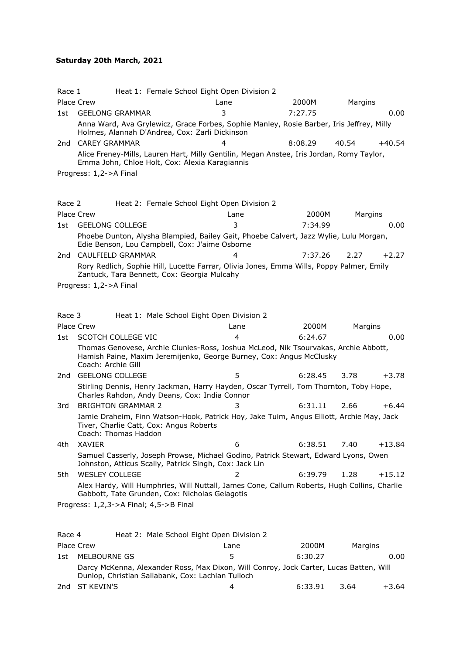## **[Sa](https://vic.rowingmanager.com/regattas/5216/results#top)turday 20th March, 2021**

| Race 1 |                                                                                                                                                                                  | Heat 1: Female School Eight Open Division 2 |         |         |          |
|--------|----------------------------------------------------------------------------------------------------------------------------------------------------------------------------------|---------------------------------------------|---------|---------|----------|
|        | Place Crew                                                                                                                                                                       | Lane                                        | 2000M   | Margins |          |
| 1st    | <b>GEELONG GRAMMAR</b>                                                                                                                                                           | 3                                           | 7:27.75 |         | 0.00     |
|        | Anna Ward, Ava Grylewicz, Grace Forbes, Sophie Manley, Rosie Barber, Iris Jeffrey, Milly<br>Holmes, Alannah D'Andrea, Cox: Zarli Dickinson                                       |                                             |         |         |          |
| 2nd    | <b>CAREY GRAMMAR</b>                                                                                                                                                             | 4                                           | 8:08.29 | 40.54   | $+40.54$ |
|        | Alice Freney-Mills, Lauren Hart, Milly Gentilin, Megan Anstee, Iris Jordan, Romy Taylor,<br>Emma John, Chloe Holt, Cox: Alexia Karagiannis                                       |                                             |         |         |          |
|        | Progress: 1,2->A Final                                                                                                                                                           |                                             |         |         |          |
|        |                                                                                                                                                                                  |                                             |         |         |          |
| Race 2 |                                                                                                                                                                                  | Heat 2: Female School Eight Open Division 2 |         |         |          |
|        | <b>Place Crew</b>                                                                                                                                                                | Lane                                        | 2000M   | Margins |          |
| 1st    | <b>GEELONG COLLEGE</b>                                                                                                                                                           | 3                                           | 7:34.99 |         | 0.00     |
|        | Phoebe Dunton, Alysha Blampied, Bailey Gait, Phoebe Calvert, Jazz Wylie, Lulu Morgan,<br>Edie Benson, Lou Campbell, Cox: J'aime Osborne                                          |                                             |         |         |          |
| 2nd    | CAULFIELD GRAMMAR                                                                                                                                                                | 4                                           | 7:37.26 | 2.27    | $+2.27$  |
|        | Rory Redlich, Sophie Hill, Lucette Farrar, Olivia Jones, Emma Wills, Poppy Palmer, Emily<br>Zantuck, Tara Bennett, Cox: Georgia Mulcahy                                          |                                             |         |         |          |
|        | Progress: 1,2->A Final                                                                                                                                                           |                                             |         |         |          |
|        |                                                                                                                                                                                  |                                             |         |         |          |
|        |                                                                                                                                                                                  |                                             |         |         |          |
| Race 3 |                                                                                                                                                                                  | Heat 1: Male School Eight Open Division 2   |         |         |          |
|        | <b>Place Crew</b>                                                                                                                                                                | Lane                                        | 2000M   | Margins |          |
| 1st    | SCOTCH COLLEGE VIC                                                                                                                                                               | 4                                           | 6:24.67 |         | 0.00     |
|        | Thomas Genovese, Archie Clunies-Ross, Joshua McLeod, Nik Tsourvakas, Archie Abbott,<br>Hamish Paine, Maxim Jeremijenko, George Burney, Cox: Angus McClusky<br>Coach: Archie Gill |                                             |         |         |          |
| 2nd    | <b>GEELONG COLLEGE</b>                                                                                                                                                           | 5                                           | 6:28.45 | 3.78    | $+3.78$  |
|        | Stirling Dennis, Henry Jackman, Harry Hayden, Oscar Tyrrell, Tom Thornton, Toby Hope,<br>Charles Rahdon, Andy Deans, Cox: India Connor                                           |                                             |         |         |          |
| 3rd    | <b>BRIGHTON GRAMMAR 2</b>                                                                                                                                                        | 3                                           | 6:31.11 | 2.66    | $+6.44$  |
|        | Jamie Draheim, Finn Watson-Hook, Patrick Hoy, Jake Tuim, Angus Elliott, Archie May, Jack<br>Tiver, Charlie Catt, Cox: Angus Roberts<br>Coach: Thomas Haddon                      |                                             |         |         |          |
| 4th    | XAVIER                                                                                                                                                                           | 6                                           | 6:38.51 | 7.40    | +13.84   |
|        | Samuel Casserly, Joseph Prowse, Michael Godino, Patrick Stewart, Edward Lyons, Owen<br>Johnston, Atticus Scally, Patrick Singh, Cox: Jack Lin                                    |                                             |         |         |          |
| 5th    | <b>WESLEY COLLEGE</b>                                                                                                                                                            | $\overline{2}$                              | 6:39.79 | 1.28    | $+15.12$ |
|        | Alex Hardy, Will Humphries, Will Nuttall, James Cone, Callum Roberts, Hugh Collins, Charlie<br>Gabbott, Tate Grunden, Cox: Nicholas Gelagotis                                    |                                             |         |         |          |
|        | Progress: 1,2,3->A Final; 4,5->B Final                                                                                                                                           |                                             |         |         |          |
|        |                                                                                                                                                                                  |                                             |         |         |          |
| Race 4 |                                                                                                                                                                                  | Heat 2: Male School Eight Open Division 2   |         |         |          |

|     | Place Crew                                                                                                                                  | Lane | 2000M   | Margins |         |
|-----|---------------------------------------------------------------------------------------------------------------------------------------------|------|---------|---------|---------|
| 1st | MELBOURNE GS                                                                                                                                | ь.   | 6:30.27 |         | 0.00    |
|     | Darcy McKenna, Alexander Ross, Max Dixon, Will Conroy, Jock Carter, Lucas Batten, Will<br>Dunlop, Christian Sallabank, Cox: Lachlan Tulloch |      |         |         |         |
|     | 2nd ST KEVIN'S                                                                                                                              |      | 6:33.91 | 3.64    | $+3.64$ |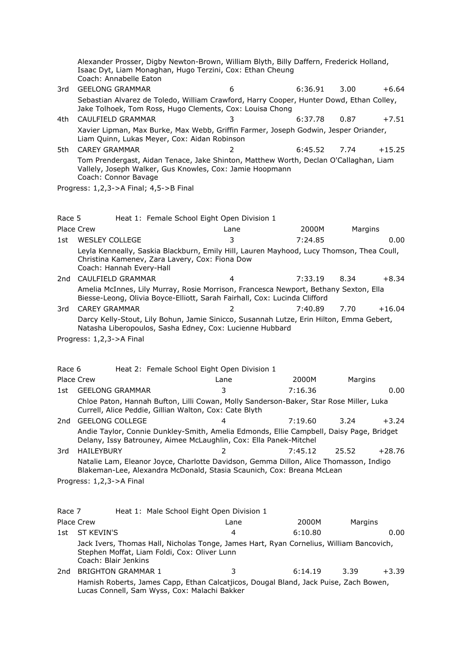Alexander Prosser, Digby Newton-Brown, William Blyth, Billy Daffern, Frederick Holland, Isaac Dyt, Liam Monaghan, Hugo Terzini, Cox: Ethan Cheung Coach: Annabelle Eaton 3rd GEELONG GRAMMAR 6 6:36.91 3.00 +6.64 Sebastian Alvarez de Toledo, William Crawford, Harry Cooper, Hunter Dowd, Ethan Colley, Jake Tolhoek, Tom Ross, Hugo Clements, Cox: Louisa Chong 4th CAULFIELD GRAMMAR 3 6:37.78 0.87 +7.51 Xavier Lipman, Max Burke, Max Webb, Griffin Farmer, Joseph Godwin, Jesper Oriander, Liam Quinn, Lukas Meyer, Cox: Aidan Robinson 5th CAREY GRAMMAR 2 6:45.52 7.74 +15.25 Tom Prendergast, Aidan Tenace, Jake Shinton, Matthew Worth, Declan O'Callaghan, Liam Vallely, Joseph Walker, Gus Knowles, Cox: Jamie Hoopmann Coach: Connor Bavage Progress: 1,2,3->A Final; 4,5->B Final Race 5 Heat 1: Female School Eight Open Division 1 Place Crew 2000 Control 2000 Lane 2000 Control 2000 Margins 1st WESLEY COLLEGE 3 7:24.85 0.00 Leyla Kenneally, Saskia Blackburn, Emily Hill, Lauren Mayhood, Lucy Thomson, Thea Coull, Christina Kamenev, Zara Lavery, Cox: Fiona Dow Coach: Hannah Every-Hall 2nd CAULFIELD GRAMMAR 4 7:33.19 8.34 +8.34 Amelia McInnes, Lily Murray, Rosie Morrison, Francesca Newport, Bethany Sexton, Ella Biesse-Leong, Olivia Boyce-Elliott, Sarah Fairhall, Cox: Lucinda Clifford 3rd CAREY GRAMMAR 2 7:40.89 7.70 +16.04 Darcy Kelly-Stout, Lily Bohun, Jamie Sinicco, Susannah Lutze, Erin Hilton, Emma Gebert, Natasha Liberopoulos, Sasha Edney, Cox: Lucienne Hubbard Progress: 1,2,3->A Final Race 6 Heat 2: Female School Eight Open Division 1 Place Crew 2000 Cane 2000 Lane 2000 Margins 1st GEELONG GRAMMAR 3 7:16.36 0.00 Chloe Paton, Hannah Bufton, Lilli Cowan, Molly Sanderson-Baker, Star Rose Miller, Luka Currell, Alice Peddie, Gillian Walton, Cox: Cate Blyth 2nd GEELONG COLLEGE 4 7:19.60 3.24 +3.24 Andie Taylor, Connie Dunkley-Smith, Amelia Edmonds, Ellie Campbell, Daisy Page, Bridget Delany, Issy Batrouney, Aimee McLaughlin, Cox: Ella Panek-Mitchel 3rd HAILEYBURY 2 7:45.12 25.52 +28.76 Natalie Lam, Eleanor Joyce, Charlotte Davidson, Gemma Dillon, Alice Thomasson, Indigo Blakeman-Lee, Alexandra McDonald, Stasia Scaunich, Cox: Breana McLean Progress: 1,2,3->A Final Race 7 Heat 1: Male School Eight Open Division 1 Place Crew 2000 Margins 2000 Margins Research Margins 2000 Margins 2000 Margins 1st ST KEVIN'S 4 6:10.80 0.00 Jack Ivers, Thomas Hall, Nicholas Tonge, James Hart, Ryan Cornelius, William Bancovich, Stephen Moffat, Liam Foldi, Cox: Oliver Lunn Coach: Blair Jenkins 2nd BRIGHTON GRAMMAR 1 3 6:14.19 3.39 +3.39

Hamish Roberts, James Capp, Ethan Calcatjicos, Dougal Bland, Jack Puise, Zach Bowen, Lucas Connell, Sam Wyss, Cox: Malachi Bakker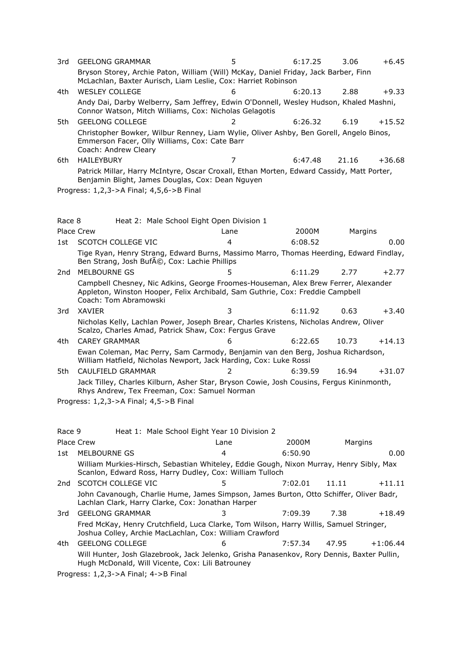| 3rd  | <b>GEELONG GRAMMAR</b>                                                                                                                                          |   | 6:17.25 | 3.06  | $+6.45$  |
|------|-----------------------------------------------------------------------------------------------------------------------------------------------------------------|---|---------|-------|----------|
|      | Bryson Storey, Archie Paton, William (Will) McKay, Daniel Friday, Jack Barber, Finn<br>McLachlan, Baxter Aurisch, Liam Leslie, Cox: Harriet Robinson            |   |         |       |          |
| 4th. | <b>WESLEY COLLEGE</b>                                                                                                                                           | 6 | 6:20.13 | 2.88  | $+9.33$  |
|      | Andy Dai, Darby Welberry, Sam Jeffrey, Edwin O'Donnell, Wesley Hudson, Khaled Mashni,<br>Connor Watson, Mitch Williams, Cox: Nicholas Gelagotis                 |   |         |       |          |
| 5th  | <b>GEELONG COLLEGE</b>                                                                                                                                          |   | 6:26.32 | 6.19  | $+15.52$ |
|      | Christopher Bowker, Wilbur Renney, Liam Wylie, Oliver Ashby, Ben Gorell, Angelo Binos,<br>Emmerson Facer, Olly Williams, Cox: Cate Barr<br>Coach: Andrew Cleary |   |         |       |          |
| 6th  | <b>HAILEYBURY</b>                                                                                                                                               |   | 6:47.48 | 21.16 | $+36.68$ |
|      | Patrick Millar, Harry McIntyre, Oscar Croxall, Ethan Morten, Edward Cassidy, Matt Porter,<br>Benjamin Blight, James Douglas, Cox: Dean Nguyen                   |   |         |       |          |

Progress: 1,2,3->A Final; 4,5,6->B Final

| Race 8 |                                                                                                                                                                                              | Heat 2: Male School Eight Open Division 1 |         |         |          |
|--------|----------------------------------------------------------------------------------------------------------------------------------------------------------------------------------------------|-------------------------------------------|---------|---------|----------|
|        | Place Crew                                                                                                                                                                                   | Lane                                      | 2000M   | Margins |          |
| 1st    | SCOTCH COLLEGE VIC                                                                                                                                                                           | 4                                         | 6:08.52 |         | 0.00     |
|        | Tige Ryan, Henry Strang, Edward Burns, Massimo Marro, Thomas Heerding, Edward Findlay,<br>Ben Strang, Josh Bufé, Cox: Lachie Phillips                                                        |                                           |         |         |          |
| 2nd    | MELBOURNE GS                                                                                                                                                                                 | 5                                         | 6:11.29 | 2.77    | $+2.77$  |
|        | Campbell Chesney, Nic Adkins, George Froomes-Houseman, Alex Brew Ferrer, Alexander<br>Appleton, Winston Hooper, Felix Archibald, Sam Guthrie, Cox: Freddie Campbell<br>Coach: Tom Abramowski |                                           |         |         |          |
| 3rd    | XAVIER                                                                                                                                                                                       | 3                                         | 6:11.92 | 0.63    | $+3.40$  |
|        | Nicholas Kelly, Lachlan Power, Joseph Brear, Charles Kristens, Nicholas Andrew, Oliver<br>Scalzo, Charles Amad, Patrick Shaw, Cox: Fergus Grave                                              |                                           |         |         |          |
| 4th.   | <b>CAREY GRAMMAR</b>                                                                                                                                                                         | 6                                         | 6:22.65 | 10.73   | $+14.13$ |
|        | Ewan Coleman, Mac Perry, Sam Carmody, Benjamin van den Berg, Joshua Richardson,<br>William Hatfield, Nicholas Newport, Jack Harding, Cox: Luke Rossi                                         |                                           |         |         |          |
| 5th.   | CAULFIELD GRAMMAR                                                                                                                                                                            |                                           | 6:39.59 | 16.94   | $+31.07$ |
|        | Jack Tilley, Charles Kilburn, Asher Star, Bryson Cowie, Josh Cousins, Fergus Kininmonth,                                                                                                     |                                           |         |         |          |

Progress: 1,2,3->A Final; 4,5->B Final

Rhys Andrew, Tex Freeman, Cox: Samuel Norman

| Race 9 |                                                                                                                                                     | Heat 1: Male School Eight Year 10 Division 2 |         |         |            |
|--------|-----------------------------------------------------------------------------------------------------------------------------------------------------|----------------------------------------------|---------|---------|------------|
|        | Place Crew                                                                                                                                          | Lane                                         | 2000M   | Margins |            |
| 1st.   | MELBOURNE GS                                                                                                                                        | 4                                            | 6:50.90 |         | 0.00       |
|        | William Murkies-Hirsch, Sebastian Whiteley, Eddie Gough, Nixon Murray, Henry Sibly, Max<br>Scanlon, Edward Ross, Harry Dudley, Cox: William Tulloch |                                              |         |         |            |
| 2nd    | SCOTCH COLLEGE VIC                                                                                                                                  | 5                                            | 7:02.01 | 11.11   | $+11.11$   |
|        | John Cavanough, Charlie Hume, James Simpson, James Burton, Otto Schiffer, Oliver Badr,<br>Lachlan Clark, Harry Clarke, Cox: Jonathan Harper         |                                              |         |         |            |
| 3rd    | <b>GEELONG GRAMMAR</b>                                                                                                                              |                                              | 7:09.39 | 7.38    | $+18.49$   |
|        | Fred McKay, Henry Crutchfield, Luca Clarke, Tom Wilson, Harry Willis, Samuel Stringer,<br>Joshua Colley, Archie MacLachlan, Cox: William Crawford   |                                              |         |         |            |
| 4th    | <b>GEELONG COLLEGE</b>                                                                                                                              | 6                                            | 7:57.34 | 47.95   | $+1:06.44$ |
|        | Will Hunter, Josh Glazebrook, Jack Jelenko, Grisha Panasenkov, Rory Dennis, Baxter Pullin,<br>Hugh McDonald, Will Vicente, Cox: Lili Batrouney      |                                              |         |         |            |
|        | .                                                                                                                                                   |                                              |         |         |            |

Progress: 1,2,3->A Final; 4->B Final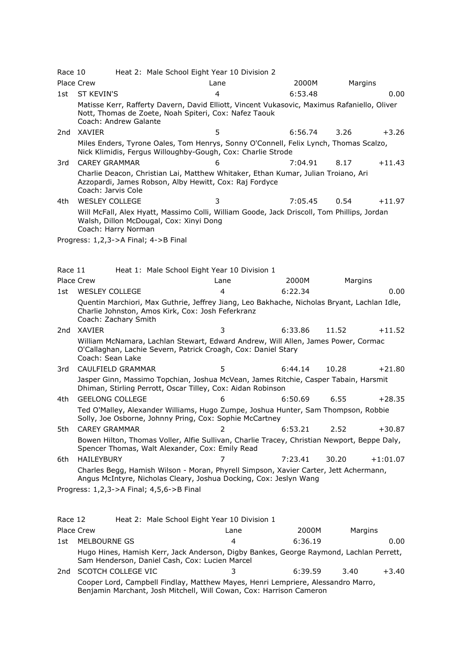| Race 10         |                                      | Heat 2: Male School Eight Year 10 Division 2                                                                                                              |                |         |         |            |
|-----------------|--------------------------------------|-----------------------------------------------------------------------------------------------------------------------------------------------------------|----------------|---------|---------|------------|
|                 | Place Crew                           |                                                                                                                                                           | Lane           | 2000M   | Margins |            |
| 1st             | <b>ST KEVIN'S</b>                    |                                                                                                                                                           | 4              | 6:53.48 |         | 0.00       |
|                 | Coach: Andrew Galante                | Matisse Kerr, Rafferty Davern, David Elliott, Vincent Vukasovic, Maximus Rafaniello, Oliver<br>Nott, Thomas de Zoete, Noah Spiteri, Cox: Nafez Taouk      |                |         |         |            |
| 2nd             | XAVIER                               |                                                                                                                                                           | 5              | 6:56.74 | 3.26    | $+3.26$    |
|                 |                                      | Miles Enders, Tyrone Oales, Tom Henrys, Sonny O'Connell, Felix Lynch, Thomas Scalzo,<br>Nick Klimidis, Fergus Willoughby-Gough, Cox: Charlie Strode       |                |         |         |            |
| 3rd             | <b>CAREY GRAMMAR</b>                 |                                                                                                                                                           | 6              | 7:04.91 | 8.17    | $+11.43$   |
|                 | Coach: Jarvis Cole                   | Charlie Deacon, Christian Lai, Matthew Whitaker, Ethan Kumar, Julian Troiano, Ari<br>Azzopardi, James Robson, Alby Hewitt, Cox: Raj Fordyce               |                |         |         |            |
| 4th             | <b>WESLEY COLLEGE</b>                |                                                                                                                                                           | 3              | 7:05.45 | 0.54    | $+11.97$   |
|                 | Coach: Harry Norman                  | Will McFall, Alex Hyatt, Massimo Colli, William Goode, Jack Driscoll, Tom Phillips, Jordan<br>Walsh, Dillon McDougal, Cox: Xinyi Dong                     |                |         |         |            |
|                 | Progress: 1,2,3->A Final; 4->B Final |                                                                                                                                                           |                |         |         |            |
|                 |                                      |                                                                                                                                                           |                |         |         |            |
| Race 11         |                                      | Heat 1: Male School Eight Year 10 Division 1                                                                                                              |                |         |         |            |
|                 | <b>Place Crew</b>                    |                                                                                                                                                           | Lane           | 2000M   | Margins |            |
| 1st             | <b>WESLEY COLLEGE</b>                |                                                                                                                                                           | 4              | 6:22.34 |         | 0.00       |
|                 | Coach: Zachary Smith                 | Quentin Marchiori, Max Guthrie, Jeffrey Jiang, Leo Bakhache, Nicholas Bryant, Lachlan Idle,<br>Charlie Johnston, Amos Kirk, Cox: Josh Feferkranz          |                |         |         |            |
| 2 <sub>nd</sub> | <b>XAVIER</b>                        |                                                                                                                                                           | 3              | 6:33.86 | 11.52   | $+11.52$   |
|                 | Coach: Sean Lake                     | William McNamara, Lachlan Stewart, Edward Andrew, Will Allen, James Power, Cormac<br>O'Callaghan, Lachie Severn, Patrick Croagh, Cox: Daniel Stary        |                |         |         |            |
| 3rd             | CAULFIELD GRAMMAR                    |                                                                                                                                                           | 5              | 6:44.14 | 10.28   | $+21.80$   |
|                 |                                      | Jasper Ginn, Massimo Topchian, Joshua McVean, James Ritchie, Casper Tabain, Harsmit<br>Dhiman, Stirling Perrott, Oscar Tilley, Cox: Aidan Robinson        |                |         |         |            |
| 4th             | <b>GEELONG COLLEGE</b>               |                                                                                                                                                           | 6              | 6:50.69 | 6.55    | $+28.35$   |
|                 |                                      | Ted O'Malley, Alexander Williams, Hugo Zumpe, Joshua Hunter, Sam Thompson, Robbie<br>Solly, Joe Osborne, Johnny Pring, Cox: Sophie McCartney              |                |         |         |            |
| 5th             | <b>CAREY GRAMMAR</b>                 |                                                                                                                                                           | $\overline{2}$ | 6:53.21 | 2.52    | $+30.87$   |
|                 |                                      | Bowen Hilton, Thomas Voller, Alfie Sullivan, Charlie Tracey, Christian Newport, Beppe Daly,<br>Spencer Thomas, Walt Alexander, Cox: Emily Read            |                |         |         |            |
| 6th             | <b>HAILEYBURY</b>                    |                                                                                                                                                           | 7              | 7:23.41 | 30.20   | $+1:01.07$ |
|                 |                                      | Charles Begg, Hamish Wilson - Moran, Phyrell Simpson, Xavier Carter, Jett Achermann,<br>Angus McIntyre, Nicholas Cleary, Joshua Docking, Cox: Jeslyn Wang |                |         |         |            |
|                 |                                      | Progress: 1,2,3->A Final; 4,5,6->B Final                                                                                                                  |                |         |         |            |
| Race 12         |                                      | Heat 2: Male School Eight Year 10 Division 1                                                                                                              |                |         |         |            |
|                 | Place Crew                           |                                                                                                                                                           | Lane           | 2000M   | Margins |            |
| 1st             | MELBOURNE GS                         |                                                                                                                                                           | 4              | 6:36.19 |         | 0.00       |
|                 |                                      |                                                                                                                                                           |                |         |         |            |

Hugo Hines, Hamish Kerr, Jack Anderson, Digby Bankes, George Raymond, Lachlan Perrett, Sam Henderson, Daniel Cash, Cox: Lucien Marcel

2nd SCOTCH COLLEGE VIC 3 6:39.59 3.40 +3.40 Cooper Lord, Campbell Findlay, Matthew Mayes, Henri Lempriere, Alessandro Marro, Benjamin Marchant, Josh Mitchell, Will Cowan, Cox: Harrison Cameron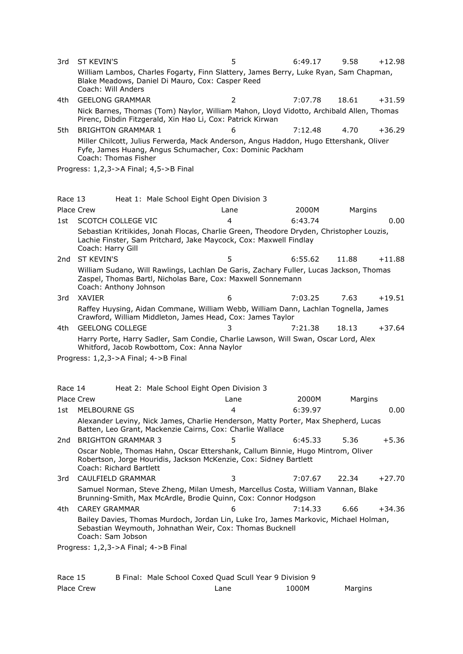3rd ST KEVIN'S 5 6:49.17 9.58 +12.98 William Lambos, Charles Fogarty, Finn Slattery, James Berry, Luke Ryan, Sam Chapman, Blake Meadows, Daniel Di Mauro, Cox: Casper Reed Coach: Will Anders 4th GEELONG GRAMMAR 2 7:07.78 18.61 +31.59 Nick Barnes, Thomas (Tom) Naylor, William Mahon, Lloyd Vidotto, Archibald Allen, Thomas Pirenc, Dibdin Fitzgerald, Xin Hao Li, Cox: Patrick Kirwan 5th BRIGHTON GRAMMAR 1 6 7:12.48 4.70 +36.29 Miller Chilcott, Julius Ferwerda, Mack Anderson, Angus Haddon, Hugo Ettershank, Oliver Fyfe, James Huang, Angus Schumacher, Cox: Dominic Packham Coach: Thomas Fisher Progress: 1,2,3->A Final; 4,5->B Final Race 13 Heat 1: Male School Eight Open Division 3 Place Crew 2000 Control 2000 Lane 2000 Margins 2000 Margins 1st SCOTCH COLLEGE VIC 4 6:43.74 0.00 Sebastian Kritikides, Jonah Flocas, Charlie Green, Theodore Dryden, Christopher Louzis, Lachie Finster, Sam Pritchard, Jake Maycock, Cox: Maxwell Findlay Coach: Harry Gill 2nd ST KEVIN'S 5 6:55.62 11.88 +11.88 William Sudano, Will Rawlings, Lachlan De Garis, Zachary Fuller, Lucas Jackson, Thomas Zaspel, Thomas Bartl, Nicholas Bare, Cox: Maxwell Sonnemann Coach: Anthony Johnson 3rd XAVIER 6 7:03.25 7.63 +19.51 Raffey Huysing, Aidan Commane, William Webb, William Dann, Lachlan Tognella, James Crawford, William Middleton, James Head, Cox: James Taylor 4th GEELONG COLLEGE 3 7:21.38 18.13 +37.64 Harry Porte, Harry Sadler, Sam Condie, Charlie Lawson, Will Swan, Oscar Lord, Alex Whitford, Jacob Rowbottom, Cox: Anna Naylor Progress: 1,2,3->A Final; 4->B Final Race 14 Heat 2: Male School Eight Open Division 3 Place Crew 2000 Margins 2000 Margins 2000 Margins 2000 Margins 1st MELBOURNE GS 4 6:39.97 0.00 Alexander Leviny, Nick James, Charlie Henderson, Matty Porter, Max Shepherd, Lucas Batten, Leo Grant, Mackenzie Cairns, Cox: Charlie Wallace 2nd BRIGHTON GRAMMAR 3 5 5 6:45.33 5.36 +5.36 Oscar Noble, Thomas Hahn, Oscar Ettershank, Callum Binnie, Hugo Mintrom, Oliver Robertson, Jorge Houridis, Jackson McKenzie, Cox: Sidney Bartlett Coach: Richard Bartlett 3rd CAULFIELD GRAMMAR 3 7:07.67 22.34 +27.70 Samuel Norman, Steve Zheng, Milan Umesh, Marcellus Costa, William Vannan, Blake Brunning-Smith, Max McArdle, Brodie Quinn, Cox: Connor Hodgson 4th CAREY GRAMMAR 6 7:14.33 6.66 +34.36

Bailey Davies, Thomas Murdoch, Jordan Lin, Luke Iro, James Markovic, Michael Holman, Sebastian Weymouth, Johnathan Weir, Cox: Thomas Bucknell Coach: Sam Jobson

Progress: 1,2,3->A Final; 4->B Final

| Race 15    | B Final: Male School Coxed Quad Scull Year 9 Division 9 |       |         |
|------------|---------------------------------------------------------|-------|---------|
| Place Crew | ∟ane                                                    | 1000M | Margins |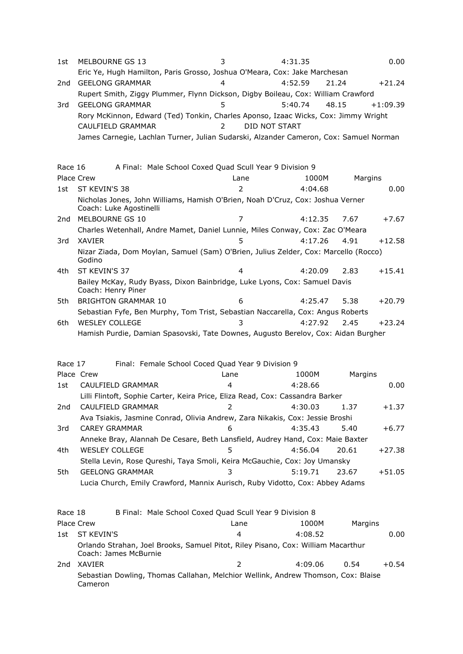| 1st     | MELBOURNE GS 13                                                                                 | 3              | 4:31.35          | 0.00              |  |
|---------|-------------------------------------------------------------------------------------------------|----------------|------------------|-------------------|--|
|         | Eric Ye, Hugh Hamilton, Paris Grosso, Joshua O'Meara, Cox: Jake Marchesan                       |                |                  |                   |  |
| 2nd     | <b>GEELONG GRAMMAR</b>                                                                          | 4              | 4:52.59<br>21.24 | $+21.24$          |  |
|         | Rupert Smith, Ziggy Plummer, Flynn Dickson, Digby Boileau, Cox: William Crawford                |                |                  |                   |  |
| 3rd     | <b>GEELONG GRAMMAR</b>                                                                          | 5              | 5:40.74<br>48.15 | $+1:09.39$        |  |
|         | Rory McKinnon, Edward (Ted) Tonkin, Charles Aponso, Izaac Wicks, Cox: Jimmy Wright              |                |                  |                   |  |
|         | CAULFIELD GRAMMAR                                                                               | $\overline{2}$ | DID NOT START    |                   |  |
|         | James Carnegie, Lachlan Turner, Julian Sudarski, Alzander Cameron, Cox: Samuel Norman           |                |                  |                   |  |
|         |                                                                                                 |                |                  |                   |  |
| Race 16 | A Final: Male School Coxed Quad Scull Year 9 Division 9                                         |                |                  |                   |  |
|         | Place Crew                                                                                      | Lane           | 1000M            | Margins           |  |
| 1st     | ST KEVIN'S 38                                                                                   | 2              | 4:04.68          | 0.00              |  |
|         | Nicholas Jones, John Williams, Hamish O'Brien, Noah D'Cruz, Cox: Joshua Verner                  |                |                  |                   |  |
|         | Coach: Luke Agostinelli                                                                         |                |                  |                   |  |
| 2nd     | MELBOURNE GS 10                                                                                 | 7              | 4:12.35          | 7.67<br>$+7.67$   |  |
|         | Charles Wetenhall, Andre Mamet, Daniel Lunnie, Miles Conway, Cox: Zac O'Meara                   |                |                  |                   |  |
| 3rd     | <b>XAVIER</b>                                                                                   | 5              | 4:17.26          | 4.91<br>$+12.58$  |  |
|         | Nizar Ziada, Dom Moylan, Samuel (Sam) O'Brien, Julius Zelder, Cox: Marcello (Rocco)<br>Godino   |                |                  |                   |  |
| 4th.    | ST KEVIN'S 37                                                                                   | 4              | 4:20.09          | 2.83<br>$+15.41$  |  |
|         | Bailey McKay, Rudy Byass, Dixon Bainbridge, Luke Lyons, Cox: Samuel Davis<br>Coach: Henry Piner |                |                  |                   |  |
| 5th     | <b>BRIGHTON GRAMMAR 10</b>                                                                      | 6              | 4:25.47          | 5.38<br>$+20.79$  |  |
|         | Sebastian Fyfe, Ben Murphy, Tom Trist, Sebastian Naccarella, Cox: Angus Roberts                 |                |                  |                   |  |
| 6th.    | <b>WESLEY COLLEGE</b>                                                                           | 3              | 4:27.92          | 2.45<br>$+23.24$  |  |
|         | Hamish Purdie, Damian Spasovski, Tate Downes, Augusto Berelov, Cox: Aidan Burgher               |                |                  |                   |  |
|         |                                                                                                 |                |                  |                   |  |
| Race 17 | Final: Female School Coced Quad Year 9 Division 9                                               |                |                  |                   |  |
|         | Place Crew                                                                                      | Lane           | 1000M            | Margins           |  |
| 1st     | CAULFIELD GRAMMAR                                                                               | 4              | 4:28.66          | 0.00              |  |
|         | Lilli Flintoft, Sophie Carter, Keira Price, Eliza Read, Cox: Cassandra Barker                   |                |                  |                   |  |
| 2nd     | CAULFIELD GRAMMAR                                                                               | $\overline{2}$ | 4:30.03          | 1.37<br>$+1.37$   |  |
|         | Ava Tsiakis, Jasmine Conrad, Olivia Andrew, Zara Nikakis, Cox: Jessie Broshi                    |                |                  |                   |  |
| 3rd     | <b>CAREY GRAMMAR</b>                                                                            | 6              | 4:35.43          | 5.40<br>$+6.77$   |  |
|         | Anneke Bray, Alannah De Cesare, Beth Lansfield, Audrey Hand, Cox: Maie Baxter                   |                |                  |                   |  |
| 4th     | <b>WESLEY COLLEGE</b>                                                                           | 5              | 4:56.04          | 20.61<br>$+27.38$ |  |
|         | Stella Levin, Rose Qureshi, Taya Smoli, Keira McGauchie, Cox: Joy Umansky                       |                |                  |                   |  |
| 5th     | <b>GEELONG GRAMMAR</b>                                                                          | 3              | 5:19.71          | 23.67<br>$+51.05$ |  |
|         | Lucia Church, Emily Crawford, Mannix Aurisch, Ruby Vidotto, Cox: Abbey Adams                    |                |                  |                   |  |
|         |                                                                                                 |                |                  |                   |  |
|         |                                                                                                 |                |                  |                   |  |
| Race 18 | B Final: Male School Coxed Quad Scull Year 9 Division 8                                         |                |                  |                   |  |
| 1st     | Place Crew<br>ST KEVIN'S                                                                        | Lane<br>4      | 1000M<br>4:08.52 | Margins<br>0.00   |  |
|         | Orlando Strahan, Joel Brooks, Samuel Pitot, Riley Pisano, Cox: William Macarthur                |                |                  |                   |  |
|         | Coach: James McBurnie                                                                           |                |                  |                   |  |
| 2nd     | XAVIER                                                                                          | $\overline{2}$ | 4:09.06          | 0.54<br>$+0.54$   |  |
|         | Sebastian Dowling, Thomas Callahan, Melchior Wellink, Andrew Thomson, Cox: Blaise<br>Cameron    |                |                  |                   |  |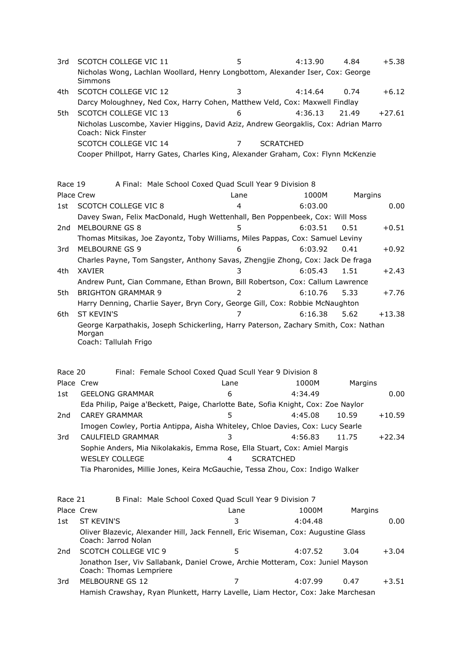3rd SCOTCH COLLEGE VIC 11 5 4:13.90 4.84 +5.38 Nicholas Wong, Lachlan Woollard, Henry Longbottom, Alexander Iser, Cox: George Simmons 4th SCOTCH COLLEGE VIC 12 3 4:14.64 0.74 +6.12 Darcy Moloughney, Ned Cox, Harry Cohen, Matthew Veld, Cox: Maxwell Findlay 5th SCOTCH COLLEGE VIC 13 6 4:36.13 21.49 +27.61 Nicholas Luscombe, Xavier Higgins, David Aziz, Andrew Georgaklis, Cox: Adrian Marro Coach: Nick Finster SCOTCH COLLEGE VIC 14 7 SCRATCHED Cooper Phillpot, Harry Gates, Charles King, Alexander Graham, Cox: Flynn McKenzie Race 19 A Final: Male School Coxed Quad Scull Year 9 Division 8 Place Crew 2008 and 2009 Lane 2008 and 2000 Margins 2009 Margins 1st SCOTCH COLLEGE VIC 8 4 6:03.00 0.00 Davey Swan, Felix MacDonald, Hugh Wettenhall, Ben Poppenbeek, Cox: Will Moss 2nd MELBOURNE GS 8 5 5 6:03.51 0.51 +0.51 Thomas Mitsikas, Joe Zayontz, Toby Williams, Miles Pappas, Cox: Samuel Leviny 3rd MELBOURNE GS 9 6:03.92 0.41 + 0.92 Charles Payne, Tom Sangster, Anthony Savas, Zhengjie Zhong, Cox: Jack De fraga 4th XAVIER 3 6:05.43 1.51 +2.43 Andrew Punt, Cian Commane, Ethan Brown, Bill Robertson, Cox: Callum Lawrence 5th BRIGHTON GRAMMAR 9 2 6:10.76 5.33 +7.76 Harry Denning, Charlie Sayer, Bryn Cory, George Gill, Cox: Robbie McNaughton 6th ST KEVIN'S 7 6:16.38 5.62 +13.38 George Karpathakis, Joseph Schickerling, Harry Paterson, Zachary Smith, Cox: Nathan Morgan Coach: Tallulah Frigo Race 20 Final: Female School Coxed Quad Scull Year 9 Division 8 Place Crew **Example 2008** Lane 2008 2009 Margins 1st GEELONG GRAMMAR 6 6 4:34.49 6 0.00 Eda Philip, Paige a'Beckett, Paige, Charlotte Bate, Sofia Knight, Cox: Zoe Naylor 2nd CAREY GRAMMAR 5 4:45.08 10.59 +10.59 Imogen Cowley, Portia Antippa, Aisha Whiteley, Chloe Davies, Cox: Lucy Searle 3rd CAULFIELD GRAMMAR 3 4:56.83 11.75 +22.34 Sophie Anders, Mia Nikolakakis, Emma Rose, Ella Stuart, Cox: Amiel Margis WESLEY COLLEGE 4 SCRATCHED Tia Pharonides, Millie Jones, Keira McGauchie, Tessa Zhou, Cox: Indigo Walker Race 21 B Final: Male School Coxed Quad Scull Year 9 Division 7 Place Crew **Lane** Lane 1000M Margins 1st ST KEVIN'S 3 4:04.48 0.00 Oliver Blazevic, Alexander Hill, Jack Fennell, Eric Wiseman, Cox: Augustine Glass Coach: Jarrod Nolan 2nd SCOTCH COLLEGE VIC 9 5 4:07.52 3.04 +3.04 Jonathon Iser, Viv Sallabank, Daniel Crowe, Archie Motteram, Cox: Juniel Mayson Coach: Thomas Lempriere 3rd MELBOURNE GS 12 7 4:07.99 0.47 +3.51

Hamish Crawshay, Ryan Plunkett, Harry Lavelle, Liam Hector, Cox: Jake Marchesan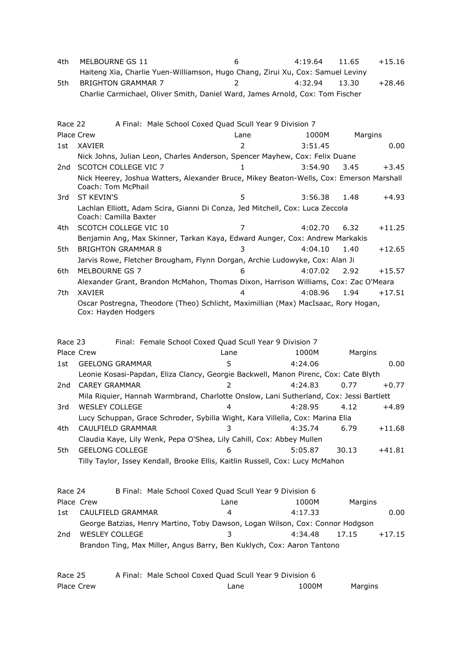| 4th     | MELBOURNE GS 11                                                                                               | 6             | 4:19.64 | 11.65   | $+15.16$ |
|---------|---------------------------------------------------------------------------------------------------------------|---------------|---------|---------|----------|
|         | Haiteng Xia, Charlie Yuen-Williamson, Hugo Chang, Zirui Xu, Cox: Samuel Leviny                                |               |         |         |          |
| 5th     | <b>BRIGHTON GRAMMAR 7</b>                                                                                     | 2             | 4:32.94 | 13.30   | $+28.46$ |
|         | Charlie Carmichael, Oliver Smith, Daniel Ward, James Arnold, Cox: Tom Fischer                                 |               |         |         |          |
| Race 22 | A Final: Male School Coxed Quad Scull Year 9 Division 7                                                       |               |         |         |          |
|         | Place Crew                                                                                                    | Lane          | 1000M   | Margins |          |
| 1st     | XAVIER                                                                                                        | 2             | 3:51.45 |         | 0.00     |
|         | Nick Johns, Julian Leon, Charles Anderson, Spencer Mayhew, Cox: Felix Duane                                   |               |         |         |          |
| 2nd     | <b>SCOTCH COLLEGE VIC 7</b>                                                                                   | 1             | 3:54.90 | 3.45    | $+3.45$  |
|         | Nick Heerey, Joshua Watters, Alexander Bruce, Mikey Beaton-Wells, Cox: Emerson Marshall<br>Coach: Tom McPhail |               |         |         |          |
| 3rd     | <b>ST KEVIN'S</b>                                                                                             | 5             | 3:56.38 | 1.48    | $+4.93$  |
|         | Lachlan Elliott, Adam Scira, Gianni Di Conza, Jed Mitchell, Cox: Luca Zeccola<br>Coach: Camilla Baxter        |               |         |         |          |
| 4th     | SCOTCH COLLEGE VIC 10                                                                                         | 7             | 4:02.70 | 6.32    | $+11.25$ |
|         | Benjamin Ang, Max Skinner, Tarkan Kaya, Edward Aunger, Cox: Andrew Markakis                                   |               |         |         |          |
| 5th     | <b>BRIGHTON GRAMMAR 8</b>                                                                                     | 3             | 4:04.10 | 1.40    | $+12.65$ |
|         | Jarvis Rowe, Fletcher Brougham, Flynn Dorgan, Archie Ludowyke, Cox: Alan Ji                                   |               |         |         |          |
| 6th     | MELBOURNE GS 7                                                                                                | 6             | 4:07.02 | 2.92    | $+15.57$ |
|         | Alexander Grant, Brandon McMahon, Thomas Dixon, Harrison Williams, Cox: Zac O'Meara                           |               |         |         |          |
| 7th     | <b>XAVIER</b>                                                                                                 |               | 4:08.96 | 1.94    | $+17.51$ |
|         | Oscar Postregna, Theodore (Theo) Schlicht, Maximillian (Max) MacIsaac, Rory Hogan,<br>Cox: Hayden Hodgers     |               |         |         |          |
| Race 23 | Final: Female School Coxed Quad Scull Year 9 Division 7                                                       |               |         |         |          |
|         | Place Crew                                                                                                    | Lane          | 1000M   | Margins |          |
| 1st     | <b>GEELONG GRAMMAR</b>                                                                                        | 5             | 4:24.06 |         | 0.00     |
|         | Leonie Kosasi-Papdan, Eliza Clancy, Georgie Backwell, Manon Pirenc, Cox: Cate Blyth                           |               |         |         |          |
| 2nd     | <b>CAREY GRAMMAR</b>                                                                                          | $\mathcal{P}$ | 4:24.83 | 0.77    | $+0.77$  |
|         | Mila Riquier, Hannah Warmbrand, Charlotte Onslow, Lani Sutherland, Cox: Jessi Bartlett                        |               |         |         |          |
| 3rd     | <b>WESLEY COLLEGE</b>                                                                                         | 4             | 4:28.95 | 4.12    | $+4.89$  |
|         | Lucy Schuppan, Grace Schroder, Sybilla Wight, Kara Villella, Cox: Marina Elia                                 |               |         |         |          |
| 4th     | CAULFIELD GRAMMAR                                                                                             | 3             | 4:35.74 | 6.79    | $+11.68$ |
|         | Claudia Kaye, Lily Wenk, Pepa O'Shea, Lily Cahill, Cox: Abbey Mullen                                          |               |         |         |          |
| 5th     | <b>GEELONG COLLEGE</b>                                                                                        | 6             | 5:05.87 | 30.13   | $+41.81$ |
|         | Tilly Taylor, Issey Kendall, Brooke Ellis, Kaitlin Russell, Cox: Lucy McMahon                                 |               |         |         |          |
| Race 24 | B Final: Male School Coxed Quad Scull Year 9 Division 6                                                       |               |         |         |          |
|         | Place Crew                                                                                                    | Lane          | 1000M   | Margins |          |
| 1st     | CAULFIELD GRAMMAR                                                                                             | 4             | 4:17.33 |         | 0.00     |
|         | George Batzias, Henry Martino, Toby Dawson, Logan Wilson, Cox: Connor Hodgson                                 |               |         |         |          |
| 2nd     | <b>WESLEY COLLEGE</b>                                                                                         | 3             | 4:34.48 | 17.15   | $+17.15$ |
|         | Brandon Ting, Max Miller, Angus Barry, Ben Kuklych, Cox: Aaron Tantono                                        |               |         |         |          |
| Race 25 | A Final: Male School Coxed Quad Scull Year 9 Division 6                                                       |               |         |         |          |

Place Crew **Lane** Lane 1000M Margins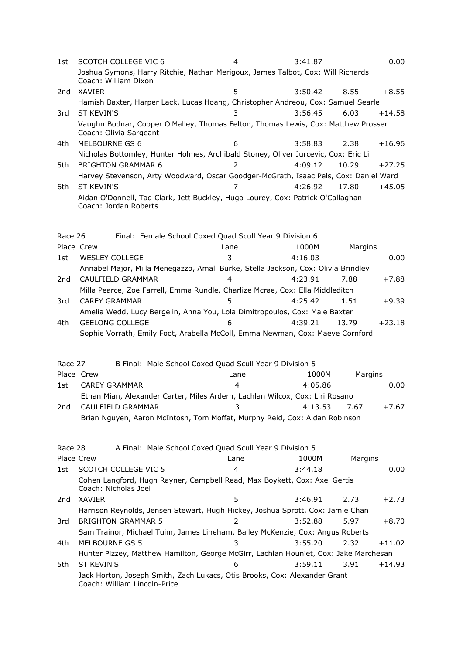| 1st             | SCOTCH COLLEGE VIC 6                                                                                        |                                                         | 4                | 3:41.87 |         | 0.00     |
|-----------------|-------------------------------------------------------------------------------------------------------------|---------------------------------------------------------|------------------|---------|---------|----------|
|                 | Joshua Symons, Harry Ritchie, Nathan Merigoux, James Talbot, Cox: Will Richards<br>Coach: William Dixon     |                                                         |                  |         |         |          |
| 2nd             | <b>XAVIER</b>                                                                                               |                                                         | 5                | 3:50.42 | 8.55    | $+8.55$  |
|                 | Hamish Baxter, Harper Lack, Lucas Hoang, Christopher Andreou, Cox: Samuel Searle                            |                                                         |                  |         |         |          |
| 3rd             | <b>ST KEVIN'S</b>                                                                                           |                                                         | 3                | 3:56.45 | 6.03    | $+14.58$ |
|                 | Vaughn Bodnar, Cooper O'Malley, Thomas Felton, Thomas Lewis, Cox: Matthew Prosser<br>Coach: Olivia Sargeant |                                                         |                  |         |         |          |
| 4th             | MELBOURNE GS 6                                                                                              |                                                         | 6                | 3:58.83 | 2.38    | $+16.96$ |
|                 | Nicholas Bottomley, Hunter Holmes, Archibald Stoney, Oliver Jurcevic, Cox: Eric Li                          |                                                         |                  |         |         |          |
| 5th             | <b>BRIGHTON GRAMMAR 6</b>                                                                                   |                                                         | $\overline{2}$   | 4:09.12 | 10.29   | $+27.25$ |
|                 | Harvey Stevenson, Arty Woodward, Oscar Goodger-McGrath, Isaac Pels, Cox: Daniel Ward                        |                                                         |                  |         |         |          |
| 6th             | <b>ST KEVIN'S</b>                                                                                           |                                                         | 7                | 4:26.92 | 17.80   | $+45.05$ |
|                 | Aidan O'Donnell, Tad Clark, Jett Buckley, Hugo Lourey, Cox: Patrick O'Callaghan<br>Coach: Jordan Roberts    |                                                         |                  |         |         |          |
| Race 26         |                                                                                                             | Final: Female School Coxed Quad Scull Year 9 Division 6 |                  |         |         |          |
|                 | Place Crew                                                                                                  |                                                         | Lane             | 1000M   | Margins |          |
| 1st             | <b>WESLEY COLLEGE</b>                                                                                       |                                                         | 3                | 4:16.03 |         | 0.00     |
|                 | Annabel Major, Milla Menegazzo, Amali Burke, Stella Jackson, Cox: Olivia Brindley                           |                                                         |                  |         |         |          |
| 2 <sub>nd</sub> | CAULFIELD GRAMMAR                                                                                           |                                                         | 4                | 4:23.91 | 7.88    | $+7.88$  |
|                 | Milla Pearce, Zoe Farrell, Emma Rundle, Charlize Mcrae, Cox: Ella Middleditch                               |                                                         |                  |         |         |          |
| 3rd             | <b>CAREY GRAMMAR</b>                                                                                        |                                                         | 5                | 4:25.42 | 1.51    | $+9.39$  |
|                 | Amelia Wedd, Lucy Bergelin, Anna You, Lola Dimitropoulos, Cox: Maie Baxter                                  |                                                         |                  |         |         |          |
| 4th             | <b>GEELONG COLLEGE</b>                                                                                      |                                                         | 6                | 4:39.21 | 13.79   | $+23.18$ |
|                 | Sophie Vorrath, Emily Foot, Arabella McColl, Emma Newman, Cox: Maeve Cornford                               |                                                         |                  |         |         |          |
| Race 27         |                                                                                                             | B Final: Male School Coxed Quad Scull Year 9 Division 5 |                  |         |         |          |
|                 | Place Crew                                                                                                  |                                                         | Lane             | 1000M   | Margins |          |
| 1st             | <b>CAREY GRAMMAR</b>                                                                                        |                                                         | $\overline{4}$   | 4:05.86 |         | 0.00     |
|                 | Ethan Mian, Alexander Carter, Miles Ardern, Lachlan Wilcox, Cox: Liri Rosano                                |                                                         |                  |         |         |          |
|                 | 2nd CAULFIELD GRAMMAR                                                                                       |                                                         | $3 \t\t 4:13.53$ |         | 7.67    | $+7.67$  |
|                 | Brian Nguyen, Aaron McIntosh, Tom Moffat, Murphy Reid, Cox: Aidan Robinson                                  |                                                         |                  |         |         |          |
| Race 28         |                                                                                                             | A Final: Male School Coxed Quad Scull Year 9 Division 5 |                  |         |         |          |
|                 | Place Crew                                                                                                  |                                                         | Lane             | 1000M   | Margins |          |
| 1st             | <b>SCOTCH COLLEGE VIC 5</b>                                                                                 |                                                         | 4                | 3:44.18 |         | 0.00     |
|                 | Cohen Langford, Hugh Rayner, Campbell Read, Max Boykett, Cox: Axel Gertis<br>Coach: Nicholas Joel           |                                                         |                  |         |         |          |
| 2nd             | XAVIER                                                                                                      |                                                         | 5                | 3:46.91 | 2.73    | $+2.73$  |
|                 | Harrison Reynolds, Jensen Stewart, Hugh Hickey, Joshua Sprott, Cox: Jamie Chan                              |                                                         |                  |         |         |          |
| 3rd             | <b>BRIGHTON GRAMMAR 5</b>                                                                                   |                                                         | 2                | 3:52.88 | 5.97    | $+8.70$  |
|                 | Sam Trainor, Michael Tuim, James Lineham, Bailey McKenzie, Cox: Angus Roberts                               |                                                         |                  |         |         |          |
| 4th             | <b>MELBOURNE GS 5</b>                                                                                       |                                                         | 3                | 3:55.20 | 2.32    | $+11.02$ |
|                 | Hunter Pizzey, Matthew Hamilton, George McGirr, Lachlan Houniet, Cox: Jake Marchesan                        |                                                         |                  |         |         |          |
| 5th             | ST KEVIN'S                                                                                                  |                                                         | 6                | 3:59.11 | 3.91    | $+14.93$ |
|                 | Jack Horton, Joseph Smith, Zach Lukacs, Otis Brooks, Cox: Alexander Grant<br>Coach: William Lincoln-Price   |                                                         |                  |         |         |          |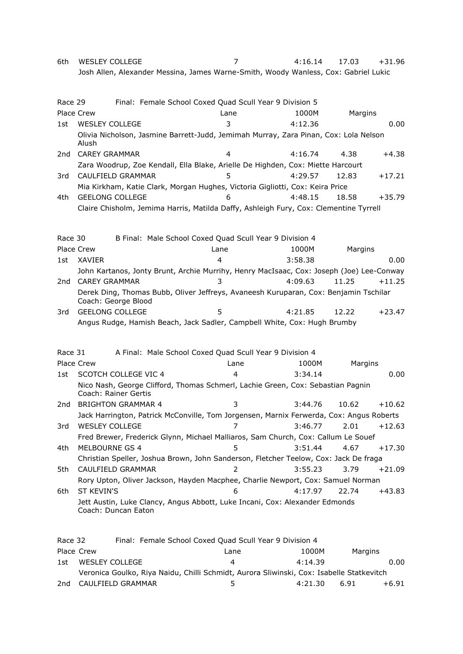6th WESLEY COLLEGE 7 4:16.14 17.03 +31.96 Josh Allen, Alexander Messina, James Warne-Smith, Woody Wanless, Cox: Gabriel Lukic

| Race 29 | Place Crew                  | Lane | Final: Female School Coxed Quad Scull Year 9 Division 5<br>1000M                         |         | Margins  |
|---------|-----------------------------|------|------------------------------------------------------------------------------------------|---------|----------|
| 1st     | <b>WESLEY COLLEGE</b>       | 3    | 4:12.36                                                                                  |         | 0.00     |
|         | Alush                       |      | Olivia Nicholson, Jasmine Barrett-Judd, Jemimah Murray, Zara Pinan, Cox: Lola Nelson     |         |          |
| 2nd     | <b>CAREY GRAMMAR</b>        | 4    | 4:16.74                                                                                  | 4.38    | $+4.38$  |
|         |                             |      | Zara Woodrup, Zoe Kendall, Ella Blake, Arielle De Highden, Cox: Miette Harcourt          |         |          |
| 3rd     | CAULFIELD GRAMMAR           | 5    | 4:29.57                                                                                  | 12.83   | $+17.21$ |
|         |                             |      | Mia Kirkham, Katie Clark, Morgan Hughes, Victoria Gigliotti, Cox: Keira Price            |         |          |
| 4th     | <b>GEELONG COLLEGE</b>      | 6    | 4:48.15                                                                                  | 18.58   | $+35.79$ |
|         |                             |      | Claire Chisholm, Jemima Harris, Matilda Daffy, Ashleigh Fury, Cox: Clementine Tyrrell    |         |          |
|         |                             |      |                                                                                          |         |          |
| Race 30 |                             |      | B Final: Male School Coxed Quad Scull Year 9 Division 4                                  |         |          |
|         | Place Crew                  | Lane | 1000M                                                                                    | Margins |          |
| 1st     | XAVIER                      | 4    | 3:58.38                                                                                  |         | 0.00     |
|         |                             |      | John Kartanos, Jonty Brunt, Archie Murrihy, Henry MacIsaac, Cox: Joseph (Joe) Lee-Conway |         |          |
| 2nd     | <b>CAREY GRAMMAR</b>        | 3    | 4:09.63                                                                                  | 11.25   | $+11.25$ |
|         | Coach: George Blood         |      | Derek Ding, Thomas Bubb, Oliver Jeffreys, Avaneesh Kuruparan, Cox: Benjamin Tschilar     |         |          |
| 3rd     | <b>GEELONG COLLEGE</b>      | 5    | 4:21.85                                                                                  | 12.22   | $+23.47$ |
|         |                             |      | Angus Rudge, Hamish Beach, Jack Sadler, Campbell White, Cox: Hugh Brumby                 |         |          |
| Race 31 |                             |      | A Final: Male School Coxed Quad Scull Year 9 Division 4                                  |         |          |
|         | Place Crew                  | Lane | 1000M                                                                                    |         | Margins  |
| 1st     | <b>SCOTCH COLLEGE VIC 4</b> | 4    | 3:34.14                                                                                  |         | 0.00     |
|         | Coach: Rainer Gertis        |      | Nico Nash, George Clifford, Thomas Schmerl, Lachie Green, Cox: Sebastian Pagnin          |         |          |
| 2nd     | <b>BRIGHTON GRAMMAR 4</b>   | 3    | 3:44.76                                                                                  | 10.62   | $+10.62$ |
|         |                             |      | Jack Harrington, Patrick McConville, Tom Jorgensen, Marnix Ferwerda, Cox: Angus Roberts  |         |          |
| 3rd     | <b>WESLEY COLLEGE</b>       | 7    | 3:46.77                                                                                  | 2.01    | $+12.63$ |
|         |                             |      | Fred Brewer, Frederick Glynn, Michael Malliaros, Sam Church, Cox: Callum Le Souef        |         |          |
| 4th     | MELBOURNE GS 4              | 5    | 3:51.44                                                                                  | 4.67    | $+17.30$ |
|         |                             |      | Christian Speller, Joshua Brown, John Sanderson, Fletcher Teelow, Cox: Jack De fraga     |         |          |
| 5th.    | CAULFIELD GRAMMAR           | 2    | 3:55.23                                                                                  | 3.79    | $+21.09$ |
|         |                             |      | Rory Upton, Oliver Jackson, Hayden Macphee, Charlie Newport, Cox: Samuel Norman          |         |          |
| 6th     | <b>ST KEVIN'S</b>           | 6    | 4:17.97                                                                                  | 22.74   | $+43.83$ |
|         | Coach: Duncan Eaton         |      | Jett Austin, Luke Clancy, Angus Abbott, Luke Incani, Cox: Alexander Edmonds              |         |          |
|         |                             |      |                                                                                          |         |          |

| Race 32 |                | Final: Female School Coxed Quad Scull Year 9 Division 4                                  |      |         |         |         |
|---------|----------------|------------------------------------------------------------------------------------------|------|---------|---------|---------|
|         | Place Crew     |                                                                                          | Lane | 1000M   | Margins |         |
| 1st     | WESLEY COLLEGE |                                                                                          | Δ    | 4:14.39 |         | 0.00    |
|         |                | Veronica Goulko, Riya Naidu, Chilli Schmidt, Aurora Sliwinski, Cox: Isabelle Statkevitch |      |         |         |         |
| 2nd     |                | CAULFIELD GRAMMAR                                                                        | ь.   | 4:21.30 | 6.91    | $+6.91$ |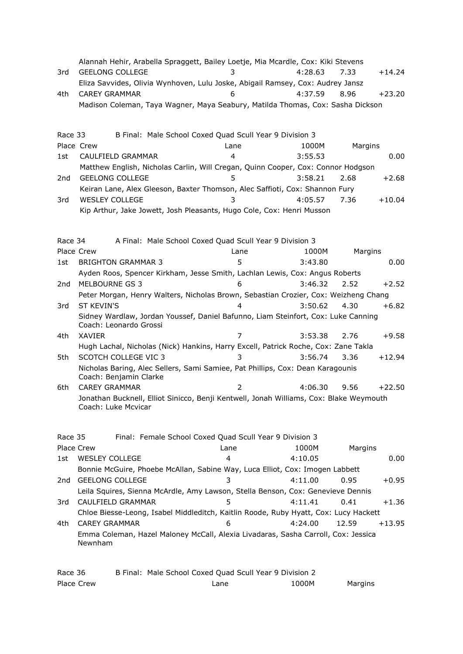|                 | Alannah Hehir, Arabella Spraggett, Bailey Loetje, Mia Mcardle, Cox: Kiki Stevens                              |                                                         |         |         |          |
|-----------------|---------------------------------------------------------------------------------------------------------------|---------------------------------------------------------|---------|---------|----------|
| 3rd             | <b>GEELONG COLLEGE</b>                                                                                        |                                                         | 4:28.63 | 7.33    | $+14.24$ |
|                 | Eliza Savvides, Olivia Wynhoven, Lulu Joske, Abigail Ramsey, Cox: Audrey Jansz                                |                                                         |         |         |          |
| 4th             | <b>CAREY GRAMMAR</b>                                                                                          | 6                                                       | 4:37.59 | 8.96    | $+23.20$ |
|                 | Madison Coleman, Taya Wagner, Maya Seabury, Matilda Thomas, Cox: Sasha Dickson                                |                                                         |         |         |          |
|                 |                                                                                                               |                                                         |         |         |          |
|                 |                                                                                                               |                                                         |         |         |          |
| Race 33         |                                                                                                               | B Final: Male School Coxed Quad Scull Year 9 Division 3 |         |         |          |
|                 | Place Crew                                                                                                    | Lane                                                    | 1000M   | Margins |          |
| 1st             | CAULFIELD GRAMMAR                                                                                             | 4                                                       | 3:55.53 |         | 0.00     |
|                 | Matthew English, Nicholas Carlin, Will Cregan, Quinn Cooper, Cox: Connor Hodgson                              |                                                         |         |         |          |
| 2 <sub>nd</sub> | <b>GEELONG COLLEGE</b>                                                                                        | 5                                                       | 3:58.21 | 2.68    | $+2.68$  |
|                 | Keiran Lane, Alex Gleeson, Baxter Thomson, Alec Saffioti, Cox: Shannon Fury                                   |                                                         |         |         |          |
| 3rd             | <b>WESLEY COLLEGE</b>                                                                                         | 3                                                       | 4:05.57 | 7.36    | $+10.04$ |
|                 | Kip Arthur, Jake Jowett, Josh Pleasants, Hugo Cole, Cox: Henri Musson                                         |                                                         |         |         |          |
|                 |                                                                                                               |                                                         |         |         |          |
| Race 34         |                                                                                                               | A Final: Male School Coxed Quad Scull Year 9 Division 3 |         |         |          |
|                 | Place Crew                                                                                                    | Lane                                                    | 1000M   | Margins |          |
| 1st             | <b>BRIGHTON GRAMMAR 3</b>                                                                                     | 5                                                       | 3:43.80 |         | 0.00     |
|                 | Ayden Roos, Spencer Kirkham, Jesse Smith, Lachlan Lewis, Cox: Angus Roberts                                   |                                                         |         |         |          |
| 2 <sub>nd</sub> | MELBOURNE GS 3                                                                                                | 6                                                       | 3:46.32 | 2.52    | $+2.52$  |
|                 | Peter Morgan, Henry Walters, Nicholas Brown, Sebastian Crozier, Cox: Weizheng Chang                           |                                                         |         |         |          |
| 3rd             | <b>ST KEVIN'S</b>                                                                                             | 4                                                       | 3:50.62 | 4.30    | $+6.82$  |
|                 | Sidney Wardlaw, Jordan Youssef, Daniel Bafunno, Liam Steinfort, Cox: Luke Canning                             |                                                         |         |         |          |
|                 | Coach: Leonardo Grossi                                                                                        |                                                         |         |         |          |
| 4th             | XAVIER                                                                                                        | $\overline{7}$                                          | 3:53.38 | 2.76    | $+9.58$  |
|                 | Hugh Lachal, Nicholas (Nick) Hankins, Harry Excell, Patrick Roche, Cox: Zane Takla                            |                                                         |         |         |          |
| 5th             | <b>SCOTCH COLLEGE VIC 3</b>                                                                                   | 3                                                       | 3:56.74 | 3.36    | $+12.94$ |
|                 | Nicholas Baring, Alec Sellers, Sami Samiee, Pat Phillips, Cox: Dean Karagounis                                |                                                         |         |         |          |
|                 | Coach: Benjamin Clarke                                                                                        |                                                         |         |         |          |
| 6th             | <b>CAREY GRAMMAR</b>                                                                                          | $\overline{2}$                                          | 4:06.30 | 9.56    | $+22.50$ |
|                 | Jonathan Bucknell, Elliot Sinicco, Benji Kentwell, Jonah Williams, Cox: Blake Weymouth<br>Coach: Luke Mcvicar |                                                         |         |         |          |
|                 |                                                                                                               |                                                         |         |         |          |
|                 |                                                                                                               |                                                         |         |         |          |
| Race 35         |                                                                                                               | Final: Female School Coxed Quad Scull Year 9 Division 3 |         |         |          |
|                 | Place Crew                                                                                                    | Lane                                                    | 1000M   | Margins |          |
| 1st             | <b>WESLEY COLLEGE</b>                                                                                         | 4                                                       | 4:10.05 |         | 0.00     |
|                 | Bonnie McGuire, Phoebe McAllan, Sabine Way, Luca Elliot, Cox: Imogen Labbett                                  |                                                         |         |         |          |
| 2nd             | <b>GEELONG COLLEGE</b>                                                                                        | 3                                                       | 4:11.00 | 0.95    | $+0.95$  |
|                 | Leila Squires, Sienna McArdle, Amy Lawson, Stella Benson, Cox: Genevieve Dennis                               |                                                         |         |         |          |
| 3rd             | CAULFIELD GRAMMAR                                                                                             | 5                                                       | 4:11.41 | 0.41    | $+1.36$  |
|                 | Chloe Biesse-Leong, Isabel Middleditch, Kaitlin Roode, Ruby Hyatt, Cox: Lucy Hackett                          |                                                         |         |         |          |
| 4th             | <b>CAREY GRAMMAR</b>                                                                                          | 6                                                       | 4:24.00 | 12.59   | +13.95   |
|                 | Emma Coleman, Hazel Maloney McCall, Alexia Livadaras, Sasha Carroll, Cox: Jessica<br>Newnham                  |                                                         |         |         |          |

| Race 36    | B Final: Male School Coxed Quad Scull Year 9 Division 2 |       |         |
|------------|---------------------------------------------------------|-------|---------|
| Place Crew | Lane                                                    | 1000M | Margins |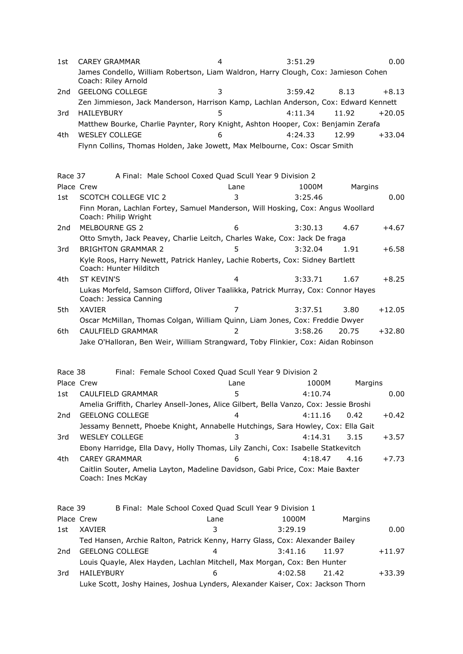| 1st     | <b>CAREY GRAMMAR</b>                                                                                    | 4                                                       | 3:51.29          |                   | 0.00    |
|---------|---------------------------------------------------------------------------------------------------------|---------------------------------------------------------|------------------|-------------------|---------|
|         | James Condello, William Robertson, Liam Waldron, Harry Clough, Cox: Jamieson Cohen                      |                                                         |                  |                   |         |
|         | Coach: Riley Arnold                                                                                     |                                                         |                  |                   |         |
| 2nd     | <b>GEELONG COLLEGE</b>                                                                                  | 3                                                       | 3:59.42          | 8.13              | $+8.13$ |
|         | Zen Jimmieson, Jack Manderson, Harrison Kamp, Lachlan Anderson, Cox: Edward Kennett                     |                                                         |                  |                   |         |
| 3rd     | <b>HAILEYBURY</b>                                                                                       | 5                                                       | 4:11.34          | 11.92<br>$+20.05$ |         |
|         | Matthew Bourke, Charlie Paynter, Rory Knight, Ashton Hooper, Cox: Benjamin Zerafa                       |                                                         |                  |                   |         |
| 4th     | <b>WESLEY COLLEGE</b>                                                                                   | 6                                                       | 4:24.33          | 12.99<br>$+33.04$ |         |
|         | Flynn Collins, Thomas Holden, Jake Jowett, Max Melbourne, Cox: Oscar Smith                              |                                                         |                  |                   |         |
|         |                                                                                                         |                                                         |                  |                   |         |
|         |                                                                                                         |                                                         |                  |                   |         |
| Race 37 |                                                                                                         | A Final: Male School Coxed Quad Scull Year 9 Division 2 |                  |                   |         |
|         | Place Crew                                                                                              | Lane                                                    | 1000M            | Margins           |         |
| 1st     | <b>SCOTCH COLLEGE VIC 2</b>                                                                             | 3                                                       | 3:25.46          |                   | 0.00    |
|         | Finn Moran, Lachlan Fortey, Samuel Manderson, Will Hosking, Cox: Angus Woollard<br>Coach: Philip Wright |                                                         |                  |                   |         |
| 2nd     | MELBOURNE GS 2                                                                                          | 6                                                       | 3:30.13          | 4.67              | $+4.67$ |
|         | Otto Smyth, Jack Peavey, Charlie Leitch, Charles Wake, Cox: Jack De fraga                               |                                                         |                  |                   |         |
| 3rd     | <b>BRIGHTON GRAMMAR 2</b>                                                                               | 5.                                                      | 3:32.04          | 1.91              | $+6.58$ |
|         | Kyle Roos, Harry Newett, Patrick Hanley, Lachie Roberts, Cox: Sidney Bartlett<br>Coach: Hunter Hilditch |                                                         |                  |                   |         |
| 4th     | <b>ST KEVIN'S</b>                                                                                       | 4                                                       | 3:33.71          | 1.67<br>$+8.25$   |         |
|         | Lukas Morfeld, Samson Clifford, Oliver Taalikka, Patrick Murray, Cox: Connor Hayes                      |                                                         |                  |                   |         |
|         | Coach: Jessica Canning                                                                                  |                                                         |                  |                   |         |
| 5th     | <b>XAVIER</b>                                                                                           | 7                                                       | 3:37.51          | 3.80<br>$+12.05$  |         |
|         | Oscar McMillan, Thomas Colgan, William Quinn, Liam Jones, Cox: Freddie Dwyer                            |                                                         |                  |                   |         |
| 6th     | CAULFIELD GRAMMAR                                                                                       |                                                         | 3:58.26          | 20.75<br>$+32.80$ |         |
|         | Jake O'Halloran, Ben Weir, William Strangward, Toby Flinkier, Cox: Aidan Robinson                       |                                                         |                  |                   |         |
|         |                                                                                                         |                                                         |                  |                   |         |
| Race 38 |                                                                                                         | Final: Female School Coxed Quad Scull Year 9 Division 2 |                  |                   |         |
|         | Place Crew                                                                                              | Lane                                                    | 1000M            | Margins           |         |
| 1st     | CAULFIELD GRAMMAR                                                                                       | 5.                                                      | 4:10.74          |                   | 0.00    |
|         | Amelia Griffith, Charley Ansell-Jones, Alice Gilbert, Bella Vanzo, Cox: Jessie Broshi                   |                                                         |                  |                   |         |
| 2nd     | <b>GEELONG COLLEGE</b>                                                                                  | 4                                                       | 4:11.16          | 0.42              | $+0.42$ |
|         | Jessamy Bennett, Phoebe Knight, Annabelle Hutchings, Sara Howley, Cox: Ella Gait                        |                                                         |                  |                   |         |
| 3rd     | <b>WESLEY COLLEGE</b>                                                                                   | 3                                                       | 4:14.31          | 3.15<br>$+3.57$   |         |
|         | Ebony Harridge, Ella Davy, Holly Thomas, Lily Zanchi, Cox: Isabelle Statkevitch                         |                                                         |                  |                   |         |
| 4th     | <b>CAREY GRAMMAR</b>                                                                                    | 6                                                       | 4:18.47          | 4.16              | $+7.73$ |
|         | Caitlin Souter, Amelia Layton, Madeline Davidson, Gabi Price, Cox: Maie Baxter                          |                                                         |                  |                   |         |
|         | Coach: Ines McKay                                                                                       |                                                         |                  |                   |         |
|         |                                                                                                         |                                                         |                  |                   |         |
|         |                                                                                                         |                                                         |                  |                   |         |
| Race 39 |                                                                                                         | B Final: Male School Coxed Quad Scull Year 9 Division 1 |                  |                   |         |
|         | Place Crew                                                                                              | Lane                                                    | 1000M            | Margins           |         |
| 1st     | XAVIER                                                                                                  | 3                                                       | 3:29.19          |                   | 0.00    |
|         | Ted Hansen, Archie Ralton, Patrick Kenny, Harry Glass, Cox: Alexander Bailey                            |                                                         |                  |                   |         |
| 2nd     | <b>GEELONG COLLEGE</b>                                                                                  | 4                                                       | 3:41.16<br>11.97 | +11.97            |         |
|         | Louis Quayle, Alex Hayden, Lachlan Mitchell, Max Morgan, Cox: Ben Hunter                                |                                                         |                  |                   |         |
| 3rd     | HAILEYBURY                                                                                              | 6                                                       | 4:02.58<br>21.42 | $+33.39$          |         |
|         | Luke Scott, Joshy Haines, Joshua Lynders, Alexander Kaiser, Cox: Jackson Thorn                          |                                                         |                  |                   |         |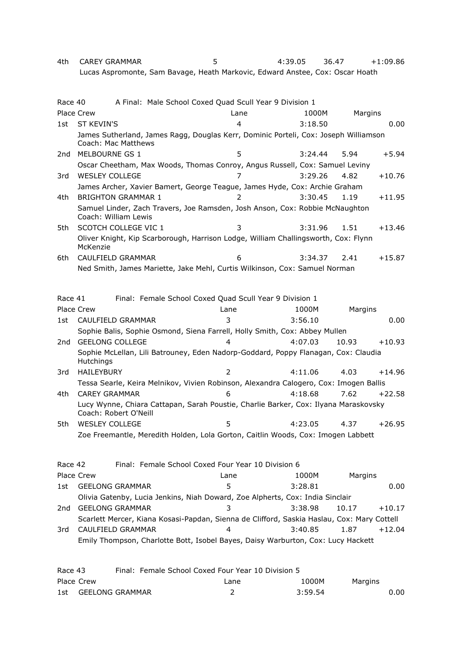4th CAREY GRAMMAR 5 4:39.05 36.47 +1:09.86 Lucas Aspromonte, Sam Bavage, Heath Markovic, Edward Anstee, Cox: Oscar Hoath

| Race 40 |                             | A Final: Male School Coxed Quad Scull Year 9 Division 1                               |                |         |         |          |
|---------|-----------------------------|---------------------------------------------------------------------------------------|----------------|---------|---------|----------|
|         | <b>Place Crew</b>           |                                                                                       | Lane           | 1000M   | Margins |          |
| 1st     | <b>ST KEVIN'S</b>           |                                                                                       | 4              | 3:18.50 |         | 0.00     |
|         | Coach: Mac Matthews         | James Sutherland, James Ragg, Douglas Kerr, Dominic Porteli, Cox: Joseph Williamson   |                |         |         |          |
| 2nd     | MELBOURNE GS 1              |                                                                                       | 5              | 3:24.44 | 5.94    | $+5.94$  |
|         |                             | Oscar Cheetham, Max Woods, Thomas Conroy, Angus Russell, Cox: Samuel Leviny           |                |         |         |          |
| 3rd     | <b>WESLEY COLLEGE</b>       |                                                                                       | 7              | 3:29.26 | 4.82    | $+10.76$ |
|         |                             | James Archer, Xavier Bamert, George Teague, James Hyde, Cox: Archie Graham            |                |         |         |          |
| 4th     | <b>BRIGHTON GRAMMAR 1</b>   |                                                                                       | $\overline{2}$ | 3:30.45 | 1.19    | $+11.95$ |
|         | Coach: William Lewis        | Samuel Linder, Zach Travers, Joe Ramsden, Josh Anson, Cox: Robbie McNaughton          |                |         |         |          |
| 5th     | <b>SCOTCH COLLEGE VIC 1</b> |                                                                                       | 3              | 3:31.96 | 1.51    | $+13.46$ |
|         | McKenzie                    | Oliver Knight, Kip Scarborough, Harrison Lodge, William Challingsworth, Cox: Flynn    |                |         |         |          |
| 6th     | CAULFIELD GRAMMAR           |                                                                                       | 6              | 3:34.37 | 2.41    | $+15.87$ |
|         |                             | Ned Smith, James Mariette, Jake Mehl, Curtis Wilkinson, Cox: Samuel Norman            |                |         |         |          |
|         |                             |                                                                                       |                |         |         |          |
|         |                             |                                                                                       |                |         |         |          |
| Race 41 |                             | Final: Female School Coxed Quad Scull Year 9 Division 1                               |                |         |         |          |
|         | <b>Place Crew</b>           |                                                                                       | Lane           | 1000M   | Margins |          |
| 1st     | CAULFIELD GRAMMAR           |                                                                                       | 3              | 3:56.10 |         | 0.00     |
|         |                             | Sophie Balis, Sophie Osmond, Siena Farrell, Holly Smith, Cox: Abbey Mullen            |                |         |         |          |
| 2nd     | <b>GEELONG COLLEGE</b>      |                                                                                       | Λ              | 4:07.03 | 10.93   | $+10.93$ |
|         | <b>Hutchings</b>            | Sophie McLellan, Lili Batrouney, Eden Nadorp-Goddard, Poppy Flanagan, Cox: Claudia    |                |         |         |          |
| 3rd     | <b>HAILEYBURY</b>           |                                                                                       | $\mathcal{P}$  | 4:11.06 | 4.03    | $+14.96$ |
|         |                             | Tessa Searle, Keira Melnikov, Vivien Robinson, Alexandra Calogero, Cox: Imogen Ballis |                |         |         |          |
| 4th     | <b>CAREY GRAMMAR</b>        |                                                                                       | 6              | 4:18.68 | 7.62    | $+22.58$ |
|         | Coach: Robert O'Neill       | Lucy Wynne, Chiara Cattapan, Sarah Poustie, Charlie Barker, Cox: Ilyana Maraskovsky   |                |         |         |          |
| 5th     | <b>WESLEY COLLEGE</b>       |                                                                                       | 5              | 4:23.05 | 4.37    | $+26.95$ |
|         |                             | Zoe Freemantle, Meredith Holden, Lola Gorton, Caitlin Woods, Cox: Imogen Labbett      |                |         |         |          |
| Race 42 |                             | Final: Female School Coxed Four Year 10 Division 6                                    |                |         |         |          |
|         | Place Crew                  |                                                                                       | Lane           | 1000M   | Margins |          |
| 1st     | <b>GEELONG GRAMMAR</b>      |                                                                                       | 5              | 3:28.81 |         | 0.00     |

2nd GEELONG GRAMMAR 3 3:38.98 10.17 +10.17 Scarlett Mercer, Kiana Kosasi-Papdan, Sienna de Clifford, Saskia Haslau, Cox: Mary Cottell 3rd CAULFIELD GRAMMAR 4 3:40.85 1.87 +12.04 Emily Thompson, Charlotte Bott, Isobel Bayes, Daisy Warburton, Cox: Lucy Hackett

| Race 43 |                     |  | Final: Female School Coxed Four Year 10 Division 5 |         |         |      |
|---------|---------------------|--|----------------------------------------------------|---------|---------|------|
|         | Place Crew          |  | Lane                                               | 1000M   | Margins |      |
|         | 1st GEELONG GRAMMAR |  |                                                    | 3:59.54 |         | 0.00 |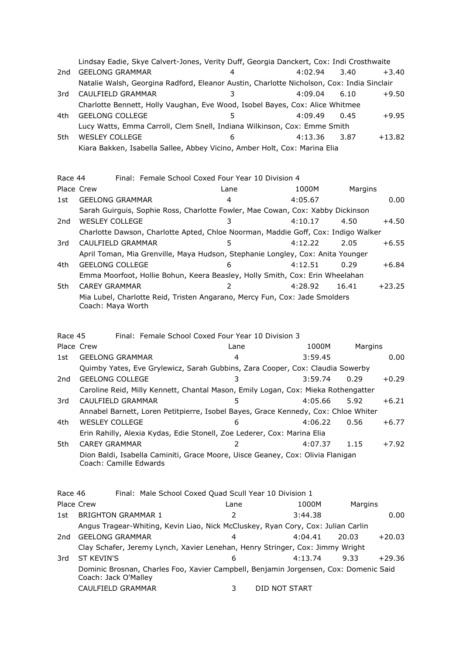|     | Lindsay Eadie, Skye Calvert-Jones, Verity Duff, Georgia Danckert, Cox: Indi Crosthwaite   |   |         |      |          |
|-----|-------------------------------------------------------------------------------------------|---|---------|------|----------|
| 2nd | <b>GEELONG GRAMMAR</b>                                                                    | 4 | 4:02.94 | 3.40 | $+3.40$  |
|     | Natalie Walsh, Georgina Radford, Eleanor Austin, Charlotte Nicholson, Cox: India Sinclair |   |         |      |          |
| 3rd | CAULFIELD GRAMMAR                                                                         |   | 4:09.04 | 6.10 | $+9.50$  |
|     | Charlotte Bennett, Holly Vaughan, Eve Wood, Isobel Bayes, Cox: Alice Whitmee              |   |         |      |          |
| 4th | <b>GEELONG COLLEGE</b>                                                                    |   | 4:09.49 | 0.45 | $+9.95$  |
|     | Lucy Watts, Emma Carroll, Clem Snell, Indiana Wilkinson, Cox: Emme Smith                  |   |         |      |          |
| 5th | <b>WESLEY COLLEGE</b>                                                                     | 6 | 4:13.36 | 3.87 | $+13.82$ |
|     | Kiara Bakken, Isabella Sallee, Abbey Vicino, Amber Holt, Cox: Marina Elia                 |   |         |      |          |

| Race 44 |                        | Final: Female School Coxed Four Year 10 Division 4                                |      |         |         |          |
|---------|------------------------|-----------------------------------------------------------------------------------|------|---------|---------|----------|
|         | Place Crew             |                                                                                   | Lane | 1000M   | Margins |          |
| 1st.    | <b>GEELONG GRAMMAR</b> |                                                                                   | 4    | 4:05.67 |         | 0.00     |
|         |                        | Sarah Guirguis, Sophie Ross, Charlotte Fowler, Mae Cowan, Cox: Xabby Dickinson    |      |         |         |          |
| 2nd     | <b>WESLEY COLLEGE</b>  |                                                                                   | 3    | 4:10.17 | 4.50    | +4.50    |
|         |                        | Charlotte Dawson, Charlotte Apted, Chloe Noorman, Maddie Goff, Cox: Indigo Walker |      |         |         |          |
| 3rd     |                        | CAULFIELD GRAMMAR                                                                 | 5    | 4:12.22 | 2.05    | $+6.55$  |
|         |                        | April Toman, Mia Grenville, Maya Hudson, Stephanie Longley, Cox: Anita Younger    |      |         |         |          |
| 4th.    | GEELONG COLLEGE        |                                                                                   | 6    | 4:12.51 | 0.29    | $+6.84$  |
|         |                        | Emma Moorfoot, Hollie Bohun, Keera Beasley, Holly Smith, Cox: Erin Wheelahan      |      |         |         |          |
| 5th     | <b>CAREY GRAMMAR</b>   |                                                                                   |      | 4:28.92 | 16.41   | $+23.25$ |
|         | Coach: Mava Worth      | Mia Lubel, Charlotte Reid, Tristen Angarano, Mercy Fun, Cox: Jade Smolders        |      |         |         |          |

| Race 45    | Final: Female School Coxed Four Year 10 Division 3                                                       |      |         |                 |
|------------|----------------------------------------------------------------------------------------------------------|------|---------|-----------------|
|            | Place Crew                                                                                               | Lane | 1000M   | Margins         |
| 1st.       | <b>GEELONG GRAMMAR</b>                                                                                   | 4    | 3:59.45 | 0.00            |
|            | Quimby Yates, Eve Grylewicz, Sarah Gubbins, Zara Cooper, Cox: Claudia Sowerby                            |      |         |                 |
| 2nd        | <b>GEELONG COLLEGE</b>                                                                                   | 3    | 3:59.74 | $+0.29$<br>0.29 |
|            | Caroline Reid, Milly Kennett, Chantal Mason, Emily Logan, Cox: Mieka Rothengatter                        |      |         |                 |
| 3rd        | CAULFIELD GRAMMAR                                                                                        | 5    | 4:05.66 | $+6.21$<br>5.92 |
|            | Annabel Barnett, Loren Petitpierre, Isobel Bayes, Grace Kennedy, Cox: Chloe Whiter                       |      |         |                 |
| 4th        | <b>WESLEY COLLEGE</b>                                                                                    | 6    | 4:06.22 | 0.56<br>$+6.77$ |
|            | Erin Rahilly, Alexia Kydas, Edie Stonell, Zoe Lederer, Cox: Marina Elia                                  |      |         |                 |
| 5th.       | <b>CAREY GRAMMAR</b>                                                                                     | 2    | 4:07.37 | 1.15<br>$+7.92$ |
|            | Dion Baldi, Isabella Caminiti, Grace Moore, Uisce Geaney, Cox: Olivia Flanigan<br>Coach: Camille Edwards |      |         |                 |
| Race 46    | Final: Male School Coxed Quad Scull Year 10 Division 1                                                   |      |         |                 |
| Place Crew |                                                                                                          | Lane | 1000M   | Margins         |
|            | 1st BRIGHTON GRAMMAR 1                                                                                   |      | 3:44.38 | 0.00            |

| 1st | <b>BRIGHTON GRAMMAR 1</b>                                                                                    |   | 3:44.38       |       | 0.00     |  |
|-----|--------------------------------------------------------------------------------------------------------------|---|---------------|-------|----------|--|
|     | Angus Tragear-Whiting, Kevin Liao, Nick McCluskey, Ryan Cory, Cox: Julian Carlin                             |   |               |       |          |  |
| 2nd | <b>GEELONG GRAMMAR</b>                                                                                       | 4 | 4:04.41       | 20.03 | $+20.03$ |  |
|     | Clay Schafer, Jeremy Lynch, Xavier Lenehan, Henry Stringer, Cox: Jimmy Wright                                |   |               |       |          |  |
| 3rd | ST KFVIN'S                                                                                                   | 6 | 4:13.74       | 9.33  | $+29.36$ |  |
|     | Dominic Brosnan, Charles Foo, Xavier Campbell, Benjamin Jorgensen, Cox: Domenic Said<br>Coach: Jack O'Malley |   |               |       |          |  |
|     | CAULFIELD GRAMMAR                                                                                            |   | DID NOT START |       |          |  |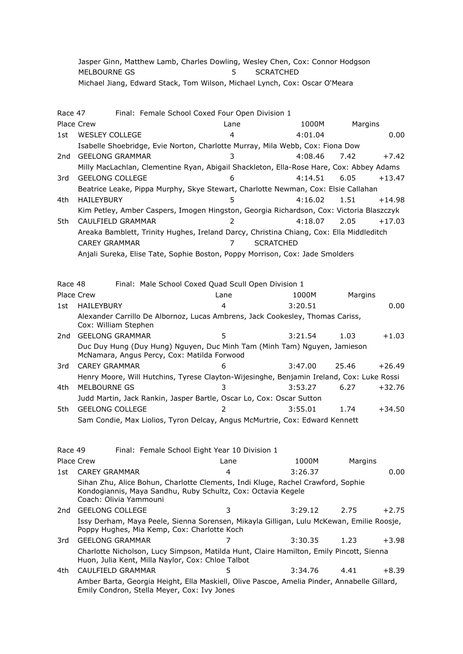Jasper Ginn, Matthew Lamb, Charles Dowling, Wesley Chen, Cox: Connor Hodgson MELBOURNE GS<br>
5 SCRATCHED Michael Jiang, Edward Stack, Tom Wilson, Michael Lynch, Cox: Oscar O'Meara

| Race 47 |                       | Final: Female School Coxed Four Open Division 1                                                                                                                           |                                                     |                |                  |         |         |          |
|---------|-----------------------|---------------------------------------------------------------------------------------------------------------------------------------------------------------------------|-----------------------------------------------------|----------------|------------------|---------|---------|----------|
|         | Place Crew            |                                                                                                                                                                           |                                                     | Lane           |                  | 1000M   | Margins |          |
| 1st     | <b>WESLEY COLLEGE</b> |                                                                                                                                                                           |                                                     | 4              |                  | 4:01.04 |         | 0.00     |
|         |                       | Isabelle Shoebridge, Evie Norton, Charlotte Murray, Mila Webb, Cox: Fiona Dow                                                                                             |                                                     |                |                  |         |         |          |
| 2nd     |                       | <b>GEELONG GRAMMAR</b>                                                                                                                                                    |                                                     | 3              |                  | 4:08.46 | 7.42    | $+7.42$  |
|         |                       | Milly MacLachlan, Clementine Ryan, Abigail Shackleton, Ella-Rose Hare, Cox: Abbey Adams                                                                                   |                                                     |                |                  |         |         |          |
| 3rd     |                       | <b>GEELONG COLLEGE</b>                                                                                                                                                    |                                                     | 6              |                  | 4:14.51 | 6.05    | $+13.47$ |
|         |                       | Beatrice Leake, Pippa Murphy, Skye Stewart, Charlotte Newman, Cox: Elsie Callahan                                                                                         |                                                     |                |                  |         |         |          |
| 4th     | HAILEYBURY            |                                                                                                                                                                           |                                                     | 5              |                  | 4:16.02 | 1.51    | $+14.98$ |
|         |                       | Kim Petley, Amber Caspers, Imogen Hingston, Georgia Richardson, Cox: Victoria Blaszczyk                                                                                   |                                                     |                |                  |         |         |          |
| 5th     |                       | CAULFIELD GRAMMAR                                                                                                                                                         |                                                     | $\overline{2}$ |                  | 4:18.07 | 2.05    | $+17.03$ |
|         |                       | Areaka Bamblett, Trinity Hughes, Ireland Darcy, Christina Chiang, Cox: Ella Middleditch                                                                                   |                                                     |                |                  |         |         |          |
|         | <b>CAREY GRAMMAR</b>  |                                                                                                                                                                           |                                                     | 7              | <b>SCRATCHED</b> |         |         |          |
|         |                       | Anjali Sureka, Elise Tate, Sophie Boston, Poppy Morrison, Cox: Jade Smolders                                                                                              |                                                     |                |                  |         |         |          |
|         |                       |                                                                                                                                                                           |                                                     |                |                  |         |         |          |
|         |                       |                                                                                                                                                                           |                                                     |                |                  |         |         |          |
| Race 48 |                       |                                                                                                                                                                           | Final: Male School Coxed Quad Scull Open Division 1 |                |                  |         |         |          |
|         | Place Crew            |                                                                                                                                                                           |                                                     | Lane           |                  | 1000M   | Margins |          |
| 1st     | <b>HAILEYBURY</b>     |                                                                                                                                                                           |                                                     | 4              |                  | 3:20.51 |         | 0.00     |
|         |                       | Alexander Carrillo De Albornoz, Lucas Ambrens, Jack Cookesley, Thomas Cariss,<br>Cox: William Stephen                                                                     |                                                     |                |                  |         |         |          |
| 2nd     |                       | <b>GEELONG GRAMMAR</b>                                                                                                                                                    |                                                     | 5              |                  | 3:21.54 | 1.03    | $+1.03$  |
|         |                       | Duc Duy Hung (Duy Hung) Nguyen, Duc Minh Tam (Minh Tam) Nguyen, Jamieson<br>McNamara, Angus Percy, Cox: Matilda Forwood                                                   |                                                     |                |                  |         |         |          |
| 3rd     | <b>CAREY GRAMMAR</b>  |                                                                                                                                                                           |                                                     | 6              |                  | 3:47.00 | 25.46   | $+26.49$ |
|         |                       | Henry Moore, Will Hutchins, Tyrese Clayton-Wijesinghe, Benjamin Ireland, Cox: Luke Rossi                                                                                  |                                                     |                |                  |         |         |          |
| 4th     | MELBOURNE GS          |                                                                                                                                                                           |                                                     | 3              |                  | 3:53.27 | 6.27    | $+32.76$ |
|         |                       | Judd Martin, Jack Rankin, Jasper Bartle, Oscar Lo, Cox: Oscar Sutton                                                                                                      |                                                     |                |                  |         |         |          |
| 5th     |                       | <b>GEELONG COLLEGE</b>                                                                                                                                                    |                                                     | 2              |                  | 3:55.01 | 1.74    | $+34.50$ |
|         |                       | Sam Condie, Max Liolios, Tyron Delcay, Angus McMurtrie, Cox: Edward Kennett                                                                                               |                                                     |                |                  |         |         |          |
|         |                       |                                                                                                                                                                           |                                                     |                |                  |         |         |          |
|         |                       |                                                                                                                                                                           |                                                     |                |                  |         |         |          |
| Race 49 |                       |                                                                                                                                                                           | Final: Female School Eight Year 10 Division 1       |                |                  |         |         |          |
|         | Place Crew            |                                                                                                                                                                           |                                                     | Lane           |                  | 1000M   | Margins |          |
| 1st.    | <b>CAREY GRAMMAR</b>  |                                                                                                                                                                           |                                                     | 4              |                  | 3:26.37 |         | 0.00     |
|         |                       | Sihan Zhu, Alice Bohun, Charlotte Clements, Indi Kluge, Rachel Crawford, Sophie<br>Kondogiannis, Maya Sandhu, Ruby Schultz, Cox: Octavia Kegele<br>Coach: Olivia Yammouni |                                                     |                |                  |         |         |          |
| 2nd     |                       | <b>GEELONG COLLEGE</b>                                                                                                                                                    |                                                     | 3              |                  | 3:29.12 | 2.75    | $+2.75$  |
|         |                       | Issy Derham, Maya Peele, Sienna Sorensen, Mikayla Gilligan, Lulu McKewan, Emilie Roosje,<br>Poppy Hughes, Mia Kemp, Cox: Charlotte Koch                                   |                                                     |                |                  |         |         |          |
| 3rd     |                       | <b>GEELONG GRAMMAR</b>                                                                                                                                                    |                                                     |                |                  | 3:30.35 | 1.23    | $+3.98$  |
|         |                       | Charlotte Nicholson, Lucy Simpson, Matilda Hunt, Claire Hamilton, Emily Pincott, Sienna<br>Huon, Julia Kent, Milla Naylor, Cox: Chloe Talbot                              |                                                     |                |                  |         |         |          |
| 4th     |                       | CAULFIELD GRAMMAR                                                                                                                                                         |                                                     | 5              |                  | 3:34.76 | 4.41    | $+8.39$  |
|         |                       | Amber Barta, Georgia Height, Ella Maskiell, Olive Pascoe, Amelia Pinder, Annabelle Gillard,                                                                               |                                                     |                |                  |         |         |          |
|         |                       | Emily Condron, Stella Meyer, Cox: Ivy Jones                                                                                                                               |                                                     |                |                  |         |         |          |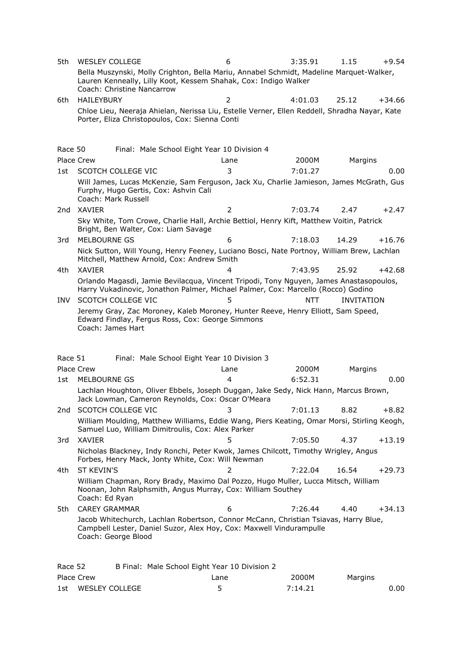| 5th     | <b>WESLEY COLLEGE</b>      |                                                                                                                                                                            | 6    | 3:35.91    | 1.15              | $+9.54$  |
|---------|----------------------------|----------------------------------------------------------------------------------------------------------------------------------------------------------------------------|------|------------|-------------------|----------|
|         | Coach: Christine Nancarrow | Bella Muszynski, Molly Crighton, Bella Mariu, Annabel Schmidt, Madeline Marquet-Walker,<br>Lauren Kenneally, Lilly Koot, Kessem Shahak, Cox: Indigo Walker                 |      |            |                   |          |
| 6th     | <b>HAILEYBURY</b>          |                                                                                                                                                                            | 2    | 4:01.03    | 25.12             | $+34.66$ |
|         |                            | Chloe Lieu, Neeraja Ahielan, Nerissa Liu, Estelle Verner, Ellen Reddell, Shradha Nayar, Kate<br>Porter, Eliza Christopoulos, Cox: Sienna Conti                             |      |            |                   |          |
| Race 50 |                            | Final: Male School Eight Year 10 Division 4                                                                                                                                |      |            |                   |          |
|         | <b>Place Crew</b>          |                                                                                                                                                                            | Lane | 2000M      | Margins           |          |
| 1st     | <b>SCOTCH COLLEGE VIC</b>  |                                                                                                                                                                            | 3    | 7:01.27    |                   | 0.00     |
|         | Coach: Mark Russell        | Will James, Lucas McKenzie, Sam Ferguson, Jack Xu, Charlie Jamieson, James McGrath, Gus<br>Furphy, Hugo Gertis, Cox: Ashvin Cali                                           |      |            |                   |          |
| 2nd     | XAVIER                     |                                                                                                                                                                            | 2    | 7:03.74    | 2.47              | $+2.47$  |
|         |                            | Sky White, Tom Crowe, Charlie Hall, Archie Bettiol, Henry Kift, Matthew Voitin, Patrick<br>Bright, Ben Walter, Cox: Liam Savage                                            |      |            |                   |          |
| 3rd     | MELBOURNE GS               |                                                                                                                                                                            | 6    | 7:18.03    | 14.29             | $+16.76$ |
|         |                            | Nick Sutton, Will Young, Henry Feeney, Luciano Bosci, Nate Portnoy, William Brew, Lachlan<br>Mitchell, Matthew Arnold, Cox: Andrew Smith                                   |      |            |                   |          |
| 4th     | <b>XAVIER</b>              |                                                                                                                                                                            | 4    | 7:43.95    | 25.92             | $+42.68$ |
|         |                            | Orlando Magasdi, Jamie Bevilacqua, Vincent Tripodi, Tony Nguyen, James Anastasopoulos,<br>Harry Vukadinovic, Jonathon Palmer, Michael Palmer, Cox: Marcello (Rocco) Godino |      |            |                   |          |
| INV.    | <b>SCOTCH COLLEGE VIC</b>  |                                                                                                                                                                            | 5    | <b>NTT</b> | <b>INVITATION</b> |          |
|         | Coach: James Hart          | Jeremy Gray, Zac Moroney, Kaleb Moroney, Hunter Reeve, Henry Elliott, Sam Speed,<br>Edward Findlay, Fergus Ross, Cox: George Simmons                                       |      |            |                   |          |
| Race 51 |                            | Final: Male School Eight Year 10 Division 3                                                                                                                                |      |            |                   |          |
|         | <b>Place Crew</b>          |                                                                                                                                                                            | Lane | 2000M      | Margins           |          |
| 1st     | MELBOURNE GS               |                                                                                                                                                                            | 4    | 6:52.31    |                   | 0.00     |
|         |                            | Lachlan Houghton, Oliver Ebbels, Joseph Duggan, Jake Sedy, Nick Hann, Marcus Brown,<br>Jack Lowman, Cameron Reynolds, Cox: Oscar O'Meara                                   |      |            |                   |          |
| 2nd     | SCOTCH COLLEGE VIC         |                                                                                                                                                                            | 3    | 7:01.13    | 8.82              | $+8.82$  |
|         |                            | William Moulding, Matthew Williams, Eddie Wang, Piers Keating, Omar Morsi, Stirling Keogh,<br>Samuel Luo, William Dimitroulis, Cox: Alex Parker                            |      |            |                   |          |
| 3rd     | <b>XAVIER</b>              |                                                                                                                                                                            | 5    | 7:05.50    | 4.37              | $+13.19$ |
|         |                            | Nicholas Blackney, Indy Ronchi, Peter Kwok, James Chilcott, Timothy Wrigley, Angus<br>Forbes, Henry Mack, Jonty White, Cox: Will Newman                                    |      |            |                   |          |
| 4th     | <b>ST KEVIN'S</b>          |                                                                                                                                                                            | 2    | 7:22.04    | 16.54             | $+29.73$ |
|         | Coach: Ed Ryan             | William Chapman, Rory Brady, Maximo Dal Pozzo, Hugo Muller, Lucca Mitsch, William<br>Noonan, John Ralphsmith, Angus Murray, Cox: William Southey                           |      |            |                   |          |
| 5th     | <b>CAREY GRAMMAR</b>       |                                                                                                                                                                            | 6    | 7:26.44    | 4.40              | $+34.13$ |
|         | Coach: George Blood        | Jacob Whitechurch, Lachlan Robertson, Connor McCann, Christian Tsiavas, Harry Blue,<br>Campbell Lester, Daniel Suzor, Alex Hoy, Cox: Maxwell Vindurampulle                 |      |            |                   |          |
| Race 52 |                            | B Final: Male School Eight Year 10 Division 2                                                                                                                              |      |            |                   |          |

| Place Crew         | Lane | 2000M   | Margins |      |
|--------------------|------|---------|---------|------|
| 1st WESLEY COLLEGE |      | 7:14.21 |         | 0.00 |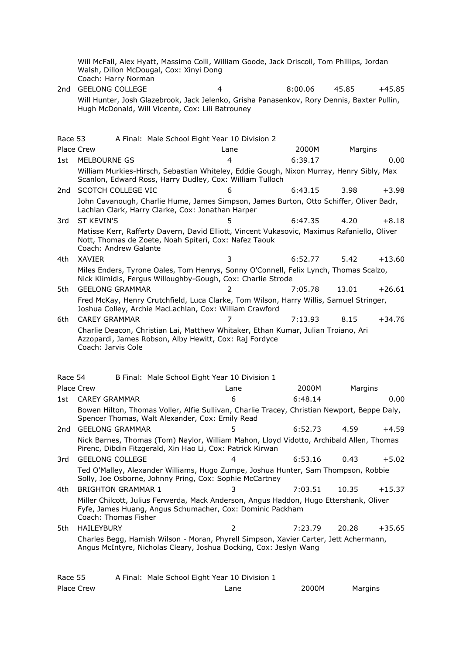Will McFall, Alex Hyatt, Massimo Colli, William Goode, Jack Driscoll, Tom Phillips, Jordan Walsh, Dillon McDougal, Cox: Xinyi Dong Coach: Harry Norman

2nd GEELONG COLLEGE 4 8:00.06 45.85 +45.85 Will Hunter, Josh Glazebrook, Jack Jelenko, Grisha Panasenkov, Rory Dennis, Baxter Pullin, Hugh McDonald, Will Vicente, Cox: Lili Batrouney

Race 53 A Final: Male School Eight Year 10 Division 2 Place Crew 2000 Control Channel Channel Lane 2000 Margins Margins 1st MELBOURNE GS 4 6:39.17 0.00 William Murkies-Hirsch, Sebastian Whiteley, Eddie Gough, Nixon Murray, Henry Sibly, Max Scanlon, Edward Ross, Harry Dudley, Cox: William Tulloch 2nd SCOTCH COLLEGE VIC 6 6:43.15 3.98 +3.98 John Cavanough, Charlie Hume, James Simpson, James Burton, Otto Schiffer, Oliver Badr, Lachlan Clark, Harry Clarke, Cox: Jonathan Harper 3rd ST KEVIN'S 5 6:47.35 4.20 +8.18 Matisse Kerr, Rafferty Davern, David Elliott, Vincent Vukasovic, Maximus Rafaniello, Oliver Nott, Thomas de Zoete, Noah Spiteri, Cox: Nafez Taouk Coach: Andrew Galante 4th XAVIER 3 6:52.77 5.42 +13.60 Miles Enders, Tyrone Oales, Tom Henrys, Sonny O'Connell, Felix Lynch, Thomas Scalzo, Nick Klimidis, Fergus Willoughby-Gough, Cox: Charlie Strode 5th GEELONG GRAMMAR 2 7:05.78 13.01 +26.61 Fred McKay, Henry Crutchfield, Luca Clarke, Tom Wilson, Harry Willis, Samuel Stringer, Joshua Colley, Archie MacLachlan, Cox: William Crawford 6th CAREY GRAMMAR 7 7:13.93 8.15 +34.76 Charlie Deacon, Christian Lai, Matthew Whitaker, Ethan Kumar, Julian Troiano, Ari Azzopardi, James Robson, Alby Hewitt, Cox: Raj Fordyce Coach: Jarvis Cole Race 54 B Final: Male School Eight Year 10 Division 1 Place Crew 2000 Cane 2000 Lane 2000 Margins 1st CAREY GRAMMAR 6 6:48.14 0.00 Bowen Hilton, Thomas Voller, Alfie Sullivan, Charlie Tracey, Christian Newport, Beppe Daly, Spencer Thomas, Walt Alexander, Cox: Emily Read 2nd GEELONG GRAMMAR 5 6:52.73 4.59 +4.59 Nick Barnes, Thomas (Tom) Naylor, William Mahon, Lloyd Vidotto, Archibald Allen, Thomas Pirenc, Dibdin Fitzgerald, Xin Hao Li, Cox: Patrick Kirwan 3rd GEELONG COLLEGE 4 6:53.16 0.43 +5.02 Ted O'Malley, Alexander Williams, Hugo Zumpe, Joshua Hunter, Sam Thompson, Robbie Solly, Joe Osborne, Johnny Pring, Cox: Sophie McCartney 4th BRIGHTON GRAMMAR 1 3 7:03.51 10.35 +15.37 Miller Chilcott, Julius Ferwerda, Mack Anderson, Angus Haddon, Hugo Ettershank, Oliver Fyfe, James Huang, Angus Schumacher, Cox: Dominic Packham Coach: Thomas Fisher 5th HAILEYBURY 2 7:23.79 20.28 +35.65 Charles Begg, Hamish Wilson - Moran, Phyrell Simpson, Xavier Carter, Jett Achermann, Angus McIntyre, Nicholas Cleary, Joshua Docking, Cox: Jeslyn Wang

| Race 55    | A Final: Male School Eight Year 10 Division 1 |       |         |
|------------|-----------------------------------------------|-------|---------|
| Place Crew | Lane                                          | 2000M | Margins |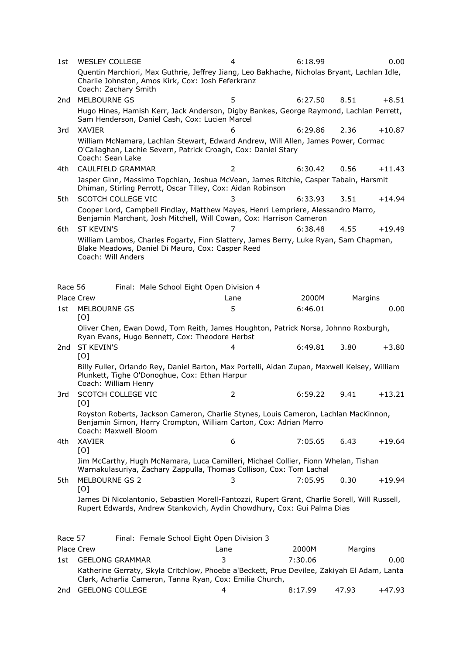| 1st             | <b>WESLEY COLLEGE</b>                                                                                                                                                            | 4              | 6:18.99 |         | 0.00     |
|-----------------|----------------------------------------------------------------------------------------------------------------------------------------------------------------------------------|----------------|---------|---------|----------|
|                 | Quentin Marchiori, Max Guthrie, Jeffrey Jiang, Leo Bakhache, Nicholas Bryant, Lachlan Idle,<br>Charlie Johnston, Amos Kirk, Cox: Josh Feferkranz<br>Coach: Zachary Smith         |                |         |         |          |
| 2nd             | <b>MELBOURNE GS</b>                                                                                                                                                              | 5              | 6:27.50 | 8.51    | $+8.51$  |
|                 | Hugo Hines, Hamish Kerr, Jack Anderson, Digby Bankes, George Raymond, Lachlan Perrett,<br>Sam Henderson, Daniel Cash, Cox: Lucien Marcel                                         |                |         |         |          |
| 3rd             | <b>XAVIER</b>                                                                                                                                                                    | 6              | 6:29.86 | 2.36    | $+10.87$ |
|                 | William McNamara, Lachlan Stewart, Edward Andrew, Will Allen, James Power, Cormac<br>O'Callaghan, Lachie Severn, Patrick Croagh, Cox: Daniel Stary<br>Coach: Sean Lake           |                |         |         |          |
| 4th             | CAULFIELD GRAMMAR                                                                                                                                                                | $\overline{2}$ | 6:30.42 | 0.56    | $+11.43$ |
|                 | Jasper Ginn, Massimo Topchian, Joshua McVean, James Ritchie, Casper Tabain, Harsmit<br>Dhiman, Stirling Perrott, Oscar Tilley, Cox: Aidan Robinson                               |                |         |         |          |
| 5th             | SCOTCH COLLEGE VIC                                                                                                                                                               | 3              | 6:33.93 | 3.51    | $+14.94$ |
|                 | Cooper Lord, Campbell Findlay, Matthew Mayes, Henri Lempriere, Alessandro Marro,<br>Benjamin Marchant, Josh Mitchell, Will Cowan, Cox: Harrison Cameron                          |                |         |         |          |
| 6th             | <b>ST KEVIN'S</b>                                                                                                                                                                | 7              | 6:38.48 | 4.55    | $+19.49$ |
|                 | William Lambos, Charles Fogarty, Finn Slattery, James Berry, Luke Ryan, Sam Chapman,<br>Blake Meadows, Daniel Di Mauro, Cox: Casper Reed<br>Coach: Will Anders                   |                |         |         |          |
| Race 56         | Final: Male School Eight Open Division 4                                                                                                                                         |                |         |         |          |
|                 | <b>Place Crew</b>                                                                                                                                                                | Lane           | 2000M   | Margins |          |
| 1st             | MELBOURNE GS                                                                                                                                                                     | 5              | 6:46.01 |         | 0.00     |
|                 | [O]<br>Oliver Chen, Ewan Dowd, Tom Reith, James Houghton, Patrick Norsa, Johnno Roxburgh,<br>Ryan Evans, Hugo Bennett, Cox: Theodore Herbst                                      |                |         |         |          |
| 2 <sub>nd</sub> | <b>ST KEVIN'S</b><br>[O]                                                                                                                                                         | 4              | 6:49.81 | 3.80    | $+3.80$  |
|                 | Billy Fuller, Orlando Rey, Daniel Barton, Max Portelli, Aidan Zupan, Maxwell Kelsey, William<br>Plunkett, Tighe O'Donoghue, Cox: Ethan Harpur<br>Coach: William Henry            |                |         |         |          |
| 3rd             | SCOTCH COLLEGE VIC<br>[O]                                                                                                                                                        | 2              | 6:59.22 | 9.41    | $+13.21$ |
|                 | Royston Roberts, Jackson Cameron, Charlie Stynes, Louis Cameron, Lachlan MacKinnon,<br>Benjamin Simon, Harry Crompton, William Carton, Cox: Adrian Marro<br>Coach: Maxwell Bloom |                |         |         |          |
| 4th             | <b>XAVIER</b><br>[O]                                                                                                                                                             | 6              | 7:05.65 | 6.43    | $+19.64$ |
|                 | Jim McCarthy, Hugh McNamara, Luca Camilleri, Michael Collier, Fionn Whelan, Tishan<br>Warnakulasuriya, Zachary Zappulla, Thomas Collison, Cox: Tom Lachal                        |                |         |         |          |
| 5th             | MELBOURNE GS 2<br>[O]                                                                                                                                                            | 3              | 7:05.95 | 0.30    | $+19.94$ |
|                 | James Di Nicolantonio, Sebastien Morell-Fantozzi, Rupert Grant, Charlie Sorell, Will Russell,<br>Rupert Edwards, Andrew Stankovich, Aydin Chowdhury, Cox: Gui Palma Dias         |                |         |         |          |
| Race 57         | Final: Female School Eight Open Division 3                                                                                                                                       |                |         |         |          |
|                 | Place Crew                                                                                                                                                                       | Lane           | 2000M   | Margins |          |
| 1st             | <b>GEELONG GRAMMAR</b>                                                                                                                                                           | 3              | 7:30.06 |         | 0.00     |
|                 | Katherine Gerraty, Skyla Critchlow, Phoebe a'Beckett, Prue Devilee, Zakiyah El Adam, Lanta<br>Clark, Acharlia Cameron, Tanna Ryan, Cox: Emilia Church,                           |                |         |         |          |

2nd GEELONG COLLEGE 4 8:17.99 47.93 +47.93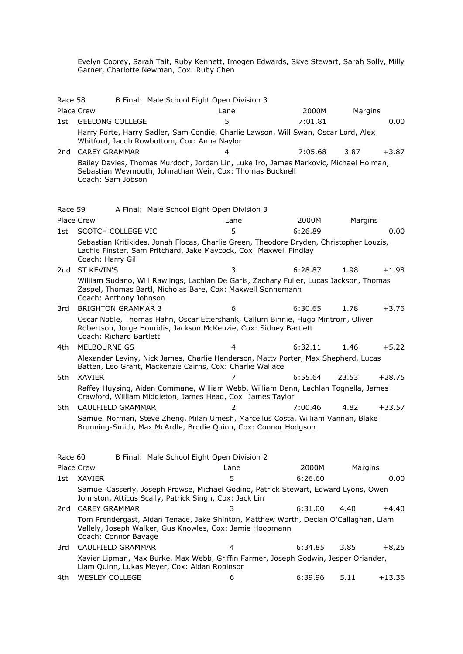Evelyn Coorey, Sarah Tait, Ruby Kennett, Imogen Edwards, Skye Stewart, Sarah Solly, Milly Garner, Charlotte Newman, Cox: Ruby Chen

| Race 58 |                                             | B Final: Male School Eight Open Division 3                                                                                                                   |         |         |          |
|---------|---------------------------------------------|--------------------------------------------------------------------------------------------------------------------------------------------------------------|---------|---------|----------|
|         | <b>Place Crew</b>                           | Lane                                                                                                                                                         | 2000M   | Margins |          |
| 1st     | <b>GEELONG COLLEGE</b>                      | 5                                                                                                                                                            | 7:01.81 |         | 0.00     |
|         | Whitford, Jacob Rowbottom, Cox: Anna Naylor | Harry Porte, Harry Sadler, Sam Condie, Charlie Lawson, Will Swan, Oscar Lord, Alex                                                                           |         |         |          |
| 2nd     | <b>CAREY GRAMMAR</b>                        | 4                                                                                                                                                            | 7:05.68 | 3.87    | $+3.87$  |
|         | Coach: Sam Jobson                           | Bailey Davies, Thomas Murdoch, Jordan Lin, Luke Iro, James Markovic, Michael Holman,<br>Sebastian Weymouth, Johnathan Weir, Cox: Thomas Bucknell             |         |         |          |
| Race 59 |                                             | A Final: Male School Eight Open Division 3                                                                                                                   |         |         |          |
|         | <b>Place Crew</b>                           | Lane                                                                                                                                                         | 2000M   | Margins |          |
| 1st     | SCOTCH COLLEGE VIC                          | 5                                                                                                                                                            | 6:26.89 |         | 0.00     |
|         | Coach: Harry Gill                           | Sebastian Kritikides, Jonah Flocas, Charlie Green, Theodore Dryden, Christopher Louzis,<br>Lachie Finster, Sam Pritchard, Jake Maycock, Cox: Maxwell Findlay |         |         |          |
| 2nd     | <b>ST KEVIN'S</b>                           | 3                                                                                                                                                            | 6:28.87 | 1.98    | $+1.98$  |
|         | Coach: Anthony Johnson                      | William Sudano, Will Rawlings, Lachlan De Garis, Zachary Fuller, Lucas Jackson, Thomas<br>Zaspel, Thomas Bartl, Nicholas Bare, Cox: Maxwell Sonnemann        |         |         |          |
| 3rd     | <b>BRIGHTON GRAMMAR 3</b>                   | 6                                                                                                                                                            | 6:30.65 | 1.78    | $+3.76$  |
|         | Coach: Richard Bartlett                     | Oscar Noble, Thomas Hahn, Oscar Ettershank, Callum Binnie, Hugo Mintrom, Oliver<br>Robertson, Jorge Houridis, Jackson McKenzie, Cox: Sidney Bartlett         |         |         |          |
| 4th.    | MELBOURNE GS                                | 4                                                                                                                                                            | 6:32.11 | 1.46    | $+5.22$  |
|         |                                             | Alexander Leviny, Nick James, Charlie Henderson, Matty Porter, Max Shepherd, Lucas<br>Batten, Leo Grant, Mackenzie Cairns, Cox: Charlie Wallace              |         |         |          |
| 5th     | <b>XAVIER</b>                               | 7                                                                                                                                                            | 6:55.64 | 23.53   | $+28.75$ |
|         |                                             | Raffey Huysing, Aidan Commane, William Webb, William Dann, Lachlan Tognella, James<br>Crawford, William Middleton, James Head, Cox: James Taylor             |         |         |          |
| 6th     | CAULFIELD GRAMMAR                           | 2                                                                                                                                                            | 7:00.46 | 4.82    | $+33.57$ |
|         |                                             | Samuel Norman, Steve Zheng, Milan Umesh, Marcellus Costa, William Vannan, Blake<br>Brunning-Smith, Max McArdle, Brodie Quinn, Cox: Connor Hodgson            |         |         |          |
| Race 60 |                                             | B Final: Male School Eight Open Division 2                                                                                                                   |         |         |          |
|         | Place Crew                                  | Lane                                                                                                                                                         | 2000M   | Margins |          |
| 1st     | XAVIER                                      | 5                                                                                                                                                            | 6:26.60 |         | 0.00     |
|         |                                             | Samuel Casserly, Joseph Prowse, Michael Godino, Patrick Stewart, Edward Lyons, Owen<br>Johnston, Atticus Scally, Patrick Singh, Cox: Jack Lin                |         |         |          |
| 2nd     | <b>CAREY GRAMMAR</b>                        | 3                                                                                                                                                            | 6:31.00 | 4.40    | $+4.40$  |
|         | Coach: Connor Bavage                        | Tom Prendergast, Aidan Tenace, Jake Shinton, Matthew Worth, Declan O'Callaghan, Liam<br>Vallely, Joseph Walker, Gus Knowles, Cox: Jamie Hoopmann             |         |         |          |
| 3rd.    | CAULFIELD GRAMMAR                           | $\overline{4}$                                                                                                                                               | 6:34.85 | 3.85    | $+8.25$  |
|         |                                             | Xavier Lipman, Max Burke, Max Webb, Griffin Farmer, Joseph Godwin, Jesper Oriander,<br>Liam Quinn, Lukas Meyer, Cox: Aidan Robinson                          |         |         |          |
| 4th     | <b>WESLEY COLLEGE</b>                       | 6                                                                                                                                                            | 6:39.96 | 5.11    | $+13.36$ |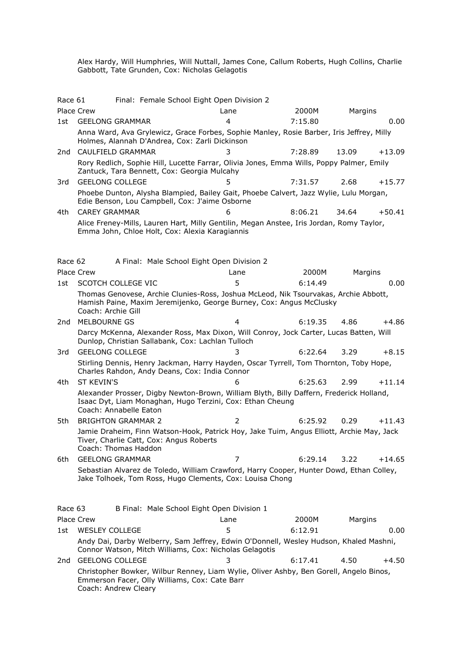Alex Hardy, Will Humphries, Will Nuttall, James Cone, Callum Roberts, Hugh Collins, Charlie Gabbott, Tate Grunden, Cox: Nicholas Gelagotis

| Race 61 |                                                                                                                                            |  | Final: Female School Eight Open Division 2                                                                                                                 |         |         |          |
|---------|--------------------------------------------------------------------------------------------------------------------------------------------|--|------------------------------------------------------------------------------------------------------------------------------------------------------------|---------|---------|----------|
|         | Place Crew                                                                                                                                 |  | Lane                                                                                                                                                       | 2000M   | Margins |          |
| 1st     | <b>GEELONG GRAMMAR</b>                                                                                                                     |  | 4                                                                                                                                                          | 7:15.80 |         | 0.00     |
|         | Anna Ward, Ava Grylewicz, Grace Forbes, Sophie Manley, Rosie Barber, Iris Jeffrey, Milly<br>Holmes, Alannah D'Andrea, Cox: Zarli Dickinson |  |                                                                                                                                                            |         |         |          |
| 2nd     | CAULFIELD GRAMMAR                                                                                                                          |  | 3                                                                                                                                                          | 7:28.89 | 13.09   | $+13.09$ |
|         | Zantuck, Tara Bennett, Cox: Georgia Mulcahy                                                                                                |  | Rory Redlich, Sophie Hill, Lucette Farrar, Olivia Jones, Emma Wills, Poppy Palmer, Emily                                                                   |         |         |          |
| 3rd     | <b>GEELONG COLLEGE</b>                                                                                                                     |  | 5                                                                                                                                                          | 7:31.57 | 2.68    | $+15.77$ |
|         | Edie Benson, Lou Campbell, Cox: J'aime Osborne                                                                                             |  | Phoebe Dunton, Alysha Blampied, Bailey Gait, Phoebe Calvert, Jazz Wylie, Lulu Morgan,                                                                      |         |         |          |
| 4th     | <b>CAREY GRAMMAR</b>                                                                                                                       |  |                                                                                                                                                            | 8:06.21 | 34.64   | $+50.41$ |
|         | Emma John, Chloe Holt, Cox: Alexia Karagiannis                                                                                             |  | Alice Freney-Mills, Lauren Hart, Milly Gentilin, Megan Anstee, Iris Jordan, Romy Taylor,                                                                   |         |         |          |
| Race 62 |                                                                                                                                            |  | A Final: Male School Eight Open Division 2                                                                                                                 |         |         |          |
|         | <b>Place Crew</b>                                                                                                                          |  | Lane                                                                                                                                                       | 2000M   | Margins |          |
| 1st     | <b>SCOTCH COLLEGE VIC</b>                                                                                                                  |  | 5                                                                                                                                                          | 6:14.49 |         | 0.00     |
|         | Coach: Archie Gill                                                                                                                         |  | Thomas Genovese, Archie Clunies-Ross, Joshua McLeod, Nik Tsourvakas, Archie Abbott,<br>Hamish Paine, Maxim Jeremijenko, George Burney, Cox: Angus McClusky |         |         |          |
| 2nd     | MELBOURNE GS                                                                                                                               |  | 4                                                                                                                                                          | 6:19.35 | 4.86    | $+4.86$  |
|         |                                                                                                                                            |  | Darcy McKenna, Alexander Ross, Max Dixon, Will Conroy, Jock Carter, Lucas Batten, Will<br>Dunlop, Christian Sallabank, Cox: Lachlan Tulloch                |         |         |          |
| 3rd     | <b>GEELONG COLLEGE</b>                                                                                                                     |  |                                                                                                                                                            | 6:22.64 | 3.29    | $+8.15$  |
|         | Charles Rahdon, Andy Deans, Cox: India Connor                                                                                              |  | Stirling Dennis, Henry Jackman, Harry Hayden, Oscar Tyrrell, Tom Thornton, Toby Hope,                                                                      |         |         |          |
| 4th     | <b>ST KEVIN'S</b>                                                                                                                          |  | 6                                                                                                                                                          | 6:25.63 | 2.99    | $+11.14$ |
|         | Coach: Annabelle Eaton                                                                                                                     |  | Alexander Prosser, Digby Newton-Brown, William Blyth, Billy Daffern, Frederick Holland,<br>Isaac Dyt, Liam Monaghan, Hugo Terzini, Cox: Ethan Cheung       |         |         |          |
| 5th     | <b>BRIGHTON GRAMMAR 2</b>                                                                                                                  |  | $\overline{2}$                                                                                                                                             | 6:25.92 | 0.29    | $+11.43$ |
|         | Tiver, Charlie Catt, Cox: Angus Roberts<br>Coach: Thomas Haddon                                                                            |  | Jamie Draheim, Finn Watson-Hook, Patrick Hoy, Jake Tuim, Angus Elliott, Archie May, Jack                                                                   |         |         |          |
| 6th.    | <b>GEELONG GRAMMAR</b>                                                                                                                     |  | 7                                                                                                                                                          | 6:29.14 | 3.22    | +14.65   |
|         |                                                                                                                                            |  | Sebastian Alvarez de Toledo, William Crawford, Harry Cooper, Hunter Dowd, Ethan Colley,<br>Jake Tolhoek, Tom Ross, Hugo Clements, Cox: Louisa Chong        |         |         |          |
| Race 63 |                                                                                                                                            |  | B Final: Male School Eight Open Division 1                                                                                                                 |         |         |          |
|         | Place Crew                                                                                                                                 |  | Lane                                                                                                                                                       | 2000M   | Margins |          |
| 1st     | <b>WESLEY COLLEGE</b>                                                                                                                      |  | 5                                                                                                                                                          | 6:12.91 |         | 0.00     |
|         |                                                                                                                                            |  | Andy Dai, Darby Welberry, Sam Jeffrey, Edwin O'Donnell, Wesley Hudson, Khaled Mashni,<br>Connor Watson, Mitch Williams, Cox: Nicholas Gelagotis            |         |         |          |
| 2nd     | <b>GEELONG COLLEGE</b>                                                                                                                     |  | 3                                                                                                                                                          | 6:17.41 | 4.50    | +4.50    |
|         | Emmerson Facer, Olly Williams, Cox: Cate Barr<br>Coach: Andrew Cleary                                                                      |  | Christopher Bowker, Wilbur Renney, Liam Wylie, Oliver Ashby, Ben Gorell, Angelo Binos,                                                                     |         |         |          |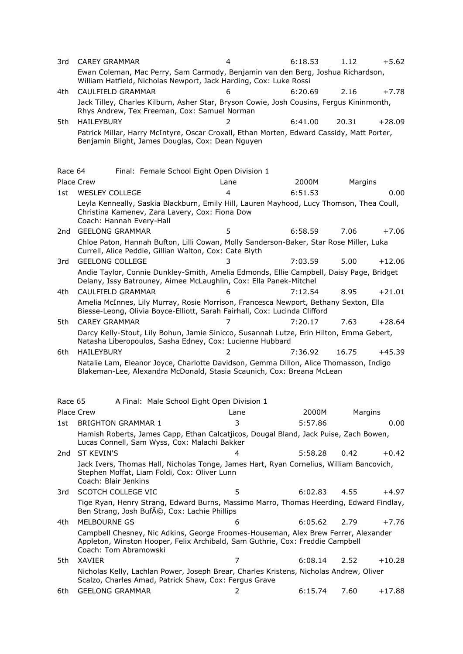| 3rd     | <b>CAREY GRAMMAR</b>                                                                                                                                                                         | 4                                          | 6:18.53 | 1.12    | $+5.62$  |
|---------|----------------------------------------------------------------------------------------------------------------------------------------------------------------------------------------------|--------------------------------------------|---------|---------|----------|
|         | Ewan Coleman, Mac Perry, Sam Carmody, Benjamin van den Berg, Joshua Richardson,<br>William Hatfield, Nicholas Newport, Jack Harding, Cox: Luke Rossi                                         |                                            |         |         |          |
| 4th     | CAULFIELD GRAMMAR                                                                                                                                                                            | 6                                          | 6:20.69 | 2.16    | $+7.78$  |
|         | Jack Tilley, Charles Kilburn, Asher Star, Bryson Cowie, Josh Cousins, Fergus Kininmonth,<br>Rhys Andrew, Tex Freeman, Cox: Samuel Norman                                                     |                                            |         |         |          |
| 5th     | <b>HAILEYBURY</b>                                                                                                                                                                            | 2                                          | 6:41.00 | 20.31   | $+28.09$ |
|         | Patrick Millar, Harry McIntyre, Oscar Croxall, Ethan Morten, Edward Cassidy, Matt Porter,<br>Benjamin Blight, James Douglas, Cox: Dean Nguyen                                                |                                            |         |         |          |
| Race 64 |                                                                                                                                                                                              | Final: Female School Eight Open Division 1 |         |         |          |
|         | Place Crew                                                                                                                                                                                   | Lane                                       | 2000M   | Margins |          |
| 1st     | <b>WESLEY COLLEGE</b>                                                                                                                                                                        | $\overline{4}$                             | 6:51.53 |         | 0.00     |
|         | Leyla Kenneally, Saskia Blackburn, Emily Hill, Lauren Mayhood, Lucy Thomson, Thea Coull,<br>Christina Kamenev, Zara Lavery, Cox: Fiona Dow<br>Coach: Hannah Every-Hall                       |                                            |         |         |          |
| 2nd     | <b>GEELONG GRAMMAR</b>                                                                                                                                                                       | 5                                          | 6:58.59 | 7.06    | $+7.06$  |
|         | Chloe Paton, Hannah Bufton, Lilli Cowan, Molly Sanderson-Baker, Star Rose Miller, Luka<br>Currell, Alice Peddie, Gillian Walton, Cox: Cate Blyth                                             |                                            |         |         |          |
| 3rd     | <b>GEELONG COLLEGE</b>                                                                                                                                                                       | 3                                          | 7:03.59 | 5.00    | $+12.06$ |
|         | Andie Taylor, Connie Dunkley-Smith, Amelia Edmonds, Ellie Campbell, Daisy Page, Bridget<br>Delany, Issy Batrouney, Aimee McLaughlin, Cox: Ella Panek-Mitchel                                 |                                            |         |         |          |
| 4th     | CAULFIELD GRAMMAR                                                                                                                                                                            | 6                                          | 7:12.54 | 8.95    | $+21.01$ |
|         | Amelia McInnes, Lily Murray, Rosie Morrison, Francesca Newport, Bethany Sexton, Ella<br>Biesse-Leong, Olivia Boyce-Elliott, Sarah Fairhall, Cox: Lucinda Clifford                            |                                            |         |         |          |
| 5th     | <b>CAREY GRAMMAR</b>                                                                                                                                                                         | 7                                          | 7:20.17 | 7.63    | $+28.64$ |
|         | Darcy Kelly-Stout, Lily Bohun, Jamie Sinicco, Susannah Lutze, Erin Hilton, Emma Gebert,<br>Natasha Liberopoulos, Sasha Edney, Cox: Lucienne Hubbard                                          |                                            |         |         |          |
| 6th     | <b>HAILEYBURY</b>                                                                                                                                                                            |                                            | 7:36.92 | 16.75   | $+45.39$ |
|         | Natalie Lam, Eleanor Joyce, Charlotte Davidson, Gemma Dillon, Alice Thomasson, Indigo<br>Blakeman-Lee, Alexandra McDonald, Stasia Scaunich, Cox: Breana McLean                               |                                            |         |         |          |
| Race 65 |                                                                                                                                                                                              | A Final: Male School Eight Open Division 1 |         |         |          |
|         | <b>Place Crew</b>                                                                                                                                                                            | Lane                                       | 2000M   | Margins |          |
| 1st     | <b>BRIGHTON GRAMMAR 1</b>                                                                                                                                                                    | 3                                          | 5:57.86 |         | 0.00     |
|         | Hamish Roberts, James Capp, Ethan Calcatjicos, Dougal Bland, Jack Puise, Zach Bowen,<br>Lucas Connell, Sam Wyss, Cox: Malachi Bakker                                                         |                                            |         |         |          |
| 2nd     | ST KEVIN'S                                                                                                                                                                                   | 4                                          | 5:58.28 | 0.42    | $+0.42$  |
|         | Jack Ivers, Thomas Hall, Nicholas Tonge, James Hart, Ryan Cornelius, William Bancovich,<br>Stephen Moffat, Liam Foldi, Cox: Oliver Lunn<br>Coach: Blair Jenkins                              |                                            |         |         |          |
| 3rd     | SCOTCH COLLEGE VIC                                                                                                                                                                           | 5                                          | 6:02.83 | 4.55    | +4.97    |
|         | Tige Ryan, Henry Strang, Edward Burns, Massimo Marro, Thomas Heerding, Edward Findlay,<br>Ben Strang, Josh Bufé, Cox: Lachie Phillips                                                        |                                            |         |         |          |
| 4th     | <b>MELBOURNE GS</b>                                                                                                                                                                          | 6                                          | 6:05.62 | 2.79    | $+7.76$  |
|         | Campbell Chesney, Nic Adkins, George Froomes-Houseman, Alex Brew Ferrer, Alexander<br>Appleton, Winston Hooper, Felix Archibald, Sam Guthrie, Cox: Freddie Campbell<br>Coach: Tom Abramowski |                                            |         |         |          |
| 5th     | <b>XAVIER</b>                                                                                                                                                                                | 7                                          | 6:08.14 | 2.52    | $+10.28$ |
|         | Nicholas Kelly, Lachlan Power, Joseph Brear, Charles Kristens, Nicholas Andrew, Oliver<br>Scalzo, Charles Amad, Patrick Shaw, Cox: Fergus Grave                                              |                                            |         |         |          |
| 6th.    | <b>GEELONG GRAMMAR</b>                                                                                                                                                                       | 2                                          | 6:15.74 | 7.60    | $+17.88$ |